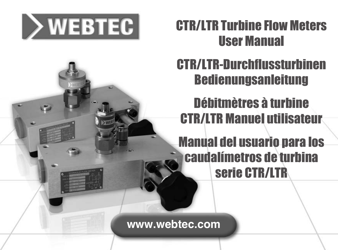

# CTR/LTR Turbine Flow Meters User Manual

CTR/LTR-Durchflussturbinen Bedienungsanleitung

Débitmètres à turbine CTR/LTR Manuel utilisateur

Manual del usuario para los caudalímetros de turbina serie CTR/LTR

**www.webtec.com**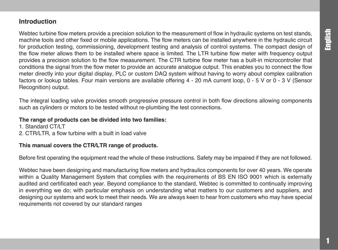# **Introduction**

Webtec turbine flow meters provide a precision solution to the measurement of flow in hydraulic systems on test stands, machine tools and other fixed or mobile applications. The flow meters can be installed anywhere in the hydraulic circuit for production testing, commissioning, development testing and analysis of control systems. The compact design of the flow meter allows them to be installed where space is limited. The LTR turbine flow meter with frequency output provides a precision solution to the flow measurement. The CTR turbine flow meter has a built-in microcontroller that conditions the signal from the flow meter to provide an accurate analogue output. This enables you to connect the flow meter directly into your digital display, PLC or custom DAQ system without having to worry about complex calibration factors or lookup tables. Four main versions are available offering 4 - 20 mA current loop, 0 - 5 V or 0 - 3 V (Sensor Recognition) output.

The integral loading valve provides smooth progressive pressure control in both flow directions allowing components such as cylinders or motors to be tested without re-plumbing the test connections.

#### **The range of products can be divided into two families:**

- 1. Standard CT/LT
- 2. CTR/LTR, a flow turbine with a built in load valve

# **This manual covers the CTR/LTR range of products.**

Before first operating the equipment read the whole of these instructions. Safety may be impaired if they are not followed.

Webtec have been designing and manufacturing flow meters and hydraulics components for over 40 years. We operate within a Quality Management System that complies with the requirements of BS EN ISO 9001 which is externally audited and certificated each year. Beyond compliance to the standard, Webtec is committed to continually improving in everything we do; with particular emphasis on understanding what matters to our customers and suppliers, and designing our systems and work to meet their needs. We are always keen to hear from customers who may have special requirements not covered by our standard ranges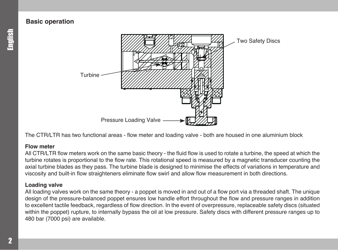# **Basic operation**



The CTR/LTR has two functional areas - flow meter and loading valve - both are housed in one aluminium block

#### **Flow meter**

All CTR/LTR flow meters work on the same basic theory - the fluid flow is used to rotate a turbine, the speed at which the turbine rotates is proportional to the flow rate. This rotational speed is measured by a magnetic transducer counting the axial turbine blades as they pass. The turbine blade is designed to minimise the effects of variations in temperature and viscosity and built-in flow straighteners eliminate flow swirl and allow flow measurement in both directions.

#### **Loading valve**

All loading valves work on the same theory - a poppet is moved in and out of a flow port via a threaded shaft. The unique design of the pressure-balanced poppet ensures low handle effort throughout the flow and pressure ranges in addition to excellent tactile feedback, regardless of flow direction. In the event of overpressure, replaceable safety discs (situated within the poppet) rupture, to internally bypass the oil at low pressure. Safety discs with different pressure ranges up to 480 bar (7000 psi) are available.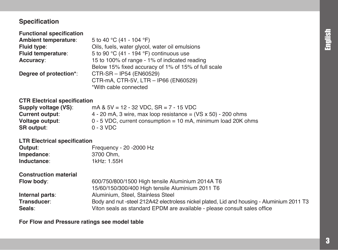# **Specification**

| <b>Functional specification</b> |                                                               |
|---------------------------------|---------------------------------------------------------------|
| Ambient temperature:            | 5 to 40 °C (41 - 104 °F)                                      |
| Fluid type:                     | Oils, fuels, water glycol, water oil emulsions                |
| Fluid temperature:              | 5 to 90 °C (41 - 194 °F) continuous use                       |
| Accuracy:                       | 15 to 100% of range - 1% of indicated reading                 |
|                                 | Below 15% fixed accuracy of 1% of 15% of full scale           |
| Degree of protection*:          | CTR-SR - IP54 (EN60529)                                       |
|                                 | CTR-mA, CTR-5V, LTR - IP66 (EN60529)<br>*With cable connected |
|                                 |                                                               |

# **CTR Electrical specification**

| Supply voltage (VS): | mA & $5V = 12 - 32 \text{ VDC}$ . $SR = 7 - 15 \text{ VDC}$          |
|----------------------|----------------------------------------------------------------------|
| Current output:      | 4 - 20 mA, 3 wire, max loop resistance = $(VS \times 50)$ - 200 ohms |
| Voltage output:      | $0 - 5$ VDC, current consumption = 10 mA, minimum load 20K ohms      |
| <b>SR</b> output:    | $0 - 3$ VDC                                                          |

# **LTR Electrical specification**

| Output:     | Frequency - 20 - 2000 Hz |
|-------------|--------------------------|
| Impedance:  | 3700 Ohm.                |
| Inductance: | 1kHz: 1.55H              |

| <b>Construction material</b> |                                                  |
|------------------------------|--------------------------------------------------|
| Flow body:                   | 600/750/800/1500 High tensile Aluminium 2014A T6 |
|                              | 15/60/150/300/400 High tensile Aluminium 2011 T6 |

| Internal parts: | Aluminium, Steel, Stainless Steel                                                         |
|-----------------|-------------------------------------------------------------------------------------------|
| Transducer:     | Body and nut -steel 212A42 electroless nickel plated, Lid and housing - Aluminium 2011 T3 |
| Seals:          | Viton seals as standard EPDM are available - please consult sales office                  |

**For Flow and Pressure ratings see model table**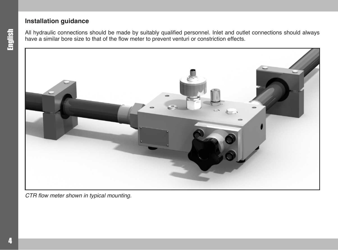# **Installation guidance**

All hydraulic connections should be made by suitably qualified personnel. Inlet and outlet connections should always have a similar bore size to that of the flow meter to prevent venturi or constriction effects.



CTR flow meter shown in typical mounting.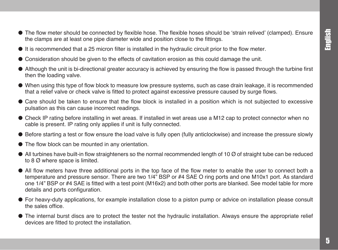- l The flow meter should be connected by flexible hose. The flexible hoses should be 'strain relived' (clamped). Ensure the clamps are at least one pipe diameter wide and position close to the fittings.
- $\bullet$  It is recommended that a 25 micron filter is installed in the hydraulic circuit prior to the flow meter.
- l Consideration should be given to the effects of cavitation erosion as this could damage the unit.
- l Although the unit is bi-directional greater accuracy is achieved by ensuring the flow is passed through the turbine first then the loading valve.
- l When using this type of flow block to measure low pressure systems, such as case drain leakage, it is recommended that a relief valve or check valve is fitted to protect against excessive pressure caused by surge flows.
- l Care should be taken to ensure that the flow block is installed in a position which is not subjected to excessive pulsation as this can cause incorrect readings.
- l Check IP rating before installing in wet areas. If installed in wet areas use a M12 cap to protect connector when no cable is present. IP rating only applies if unit is fully connected.
- l Before starting a test or flow ensure the load valve is fully open (fully anticlockwise) and increase the pressure slowly
- The flow block can be mounted in any orientation.
- $\bullet$  All turbines have built-in flow straighteners so the normal recommended length of 10  $\varnothing$  of straight tube can be reduced to 8 Ø where space is limited.
- l All flow meters have three additional ports in the top face of the flow meter to enable the user to connect both a temperature and pressure sensor. There are two 1/4" BSP or #4 SAE O ring ports and one M10x1 port. As standard one 1/4" BSP or #4 SAE is fitted with a test point (M16x2) and both other ports are blanked. See model table for more details and ports configuration.
- l For heavy-duty applications, for example installation close to a piston pump or advice on installation please consult the sales office.
- $\bullet$  The internal burst discs are to protect the tester not the hydraulic installation. Always ensure the appropriate relief devices are fitted to protect the installation.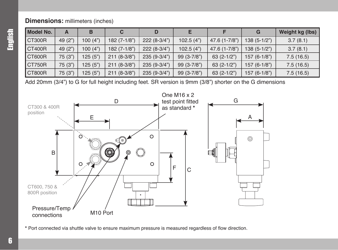# **Dimensions:** millimeters (inches)

| Model No. | Α       | в       | С              |               |             |               |               | Weight kg (lbs) |
|-----------|---------|---------|----------------|---------------|-------------|---------------|---------------|-----------------|
| CT300R    | 49 (2") | 100(4") | 182 (7-1/8")   | $222(8-3/4")$ | 102.5(4")   | 47.6 (1-7/8") | 138 (5-1/2")  | 3.7(8.1)        |
| CT400R    | 49 (2") | 100(4") | 182 (7-1/8")   | $222(8-3/4")$ | 102.5(4")   | 47.6 (1-7/8") | $138(5-1/2")$ | 3.7(8.1)        |
| CT600R    | 75(3")  | 125(5") | $211(8-3/8")$  | 235 (9-3/4")  | 99 (3-7/8") | $63(2-1/2")$  | 157 (6-1/8")  | 7.5(16.5)       |
| CT750R    | 75(3")  | 125(5") | $211 (8-3/8")$ | 235 (9-3/4")  | 99 (3-7/8") | $63(2-1/2")$  | 157 (6-1/8")  | 7.5(16.5)       |
| CT800R    | 75(3")  | 125(5") | $211 (8-3/8")$ | 235 (9-3/4")  | 99 (3-7/8") | $63(2-1/2")$  | 157 (6-1/8")  | 7.5(16.5)       |

Add 20mm (3/4") to G for full height including feet. SR version is 9mm (3/8") shorter on the G dimensions



**\*** Port connected via shuttle valve to ensure maximum pressure is measured regardless of flow direction.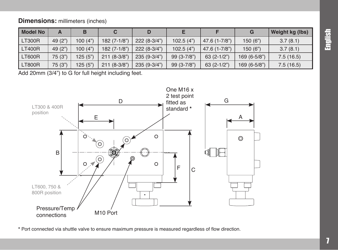English

# **Dimensions:** millimeters (inches)

| <b>Model No</b> |         |          |              |              |             |                  |              | Weight kg (lbs) |
|-----------------|---------|----------|--------------|--------------|-------------|------------------|--------------|-----------------|
| <b>LT300R</b>   | 49 (2") | 100(4")  | 182 (7-1/8") | 222 (8-3/4") | 102.5(4")   | $47.6(1 - 7/8")$ | 150(6")      | 3.7(8.1)        |
| <b>LT400R</b>   | 49 (2") | 100(4")  | 182 (7-1/8") | 222 (8-3/4") | 102.5(4")   | 47.6 (1-7/8")    | 150(6")      | 3.7(8.1)        |
| <b>LT600R</b>   | 75 (3") | 125 (5") | 211 (8-3/8") | 235 (9-3/4") | 99 (3-7/8") | $63(2-1/2")$     | 169 (6-5/8") | 7.5(16.5)       |
| <b>LT800R</b>   | 75 (3") | 125(5")  | 211 (8-3/8") | 235 (9-3/4") | 99 (3-7/8") | $63(2-1/2")$     | 169 (6-5/8") | 7.5(16.5)       |

Add 20mm (3/4") to G for full height including feet.



**\*** Port connected via shuttle valve to ensure maximum pressure is measured regardless of flow direction.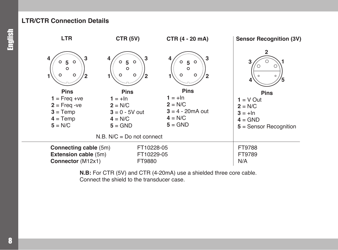# **LTR/CTR Connection Details**



**N.B:** For CTR (5V) and CTR (4-20mA) use a shielded three core cable. Connect the shield to the transducer case.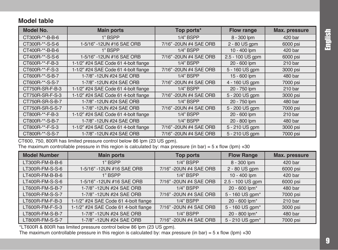### **Model table**

| Model No.       | <b>Main ports</b>                    | Top ports*               | <b>Flow range</b> | Max. pressure      |
|-----------------|--------------------------------------|--------------------------|-------------------|--------------------|
| CT300R-**-B-B-6 | 1" BSPP                              | <b>1/4" BSPP</b>         | 8 - 300 lpm       | 420 bar            |
| CT300R-**-S-S-6 | 1-5/16" -12UN #16 SAE ORB            | 7/16" - 20 UN #4 SAE ORB | 2 - 80 US qpm     | 6000 psi           |
| CT400R-**-B-B-6 | 1" BSPP                              | 1/4" BSPP                | 10 - 400 lpm      | 420 bar            |
| CT400R-**-S-S-6 | 1-5/16" -12UN #16 SAE ORB            | 7/16" - 20 UN #4 SAE ORB | 2.5 - 100 US qpm  | 6000 psi           |
| CT600R-**-F-B-3 | 1-1/2" #24 SAE Code 61 4-bolt flange | $1/4$ " BSPP             | 20 - 600 lpm      | 210 <sub>bar</sub> |
| CT600R-**-F-S-3 | 1-1/2" #24 SAE Code 61 4-bolt flange | 7/16" - 20 UN #4 SAE ORB | 5 - 160 US qpm    | 3000 psi           |
| CT600R-**-S-B-7 | 1-7/8" -12UN #24 SAE ORB             | $1/4$ " BSPP             | 15 - 600 lpm      | 480 bar            |
| CT600R-**-S-S-7 | 1-7/8" -12UN #24 SAE ORB             | 7/16" - 20 UN #4 SAE ORB | 4 - 160 US qpm    | 7000 psi           |
| CT750R-SR-F-B-3 | 1-1/2" #24 SAE Code 61 4-bolt flange | 1/4" BSPP                | 20 - 750 lpm      | 210 <sub>bar</sub> |
| CT750R-SR-F-S-3 | 1-1/2" #24 SAE Code 61 4-bolt flange | 7/16" - 20 UN #4 SAE ORB | 5 - 200 US qpm    | 3000 psi           |
| CT750R-SR-S-B-7 | 1-7/8" -12UN #24 SAE ORB             | $1/4$ " BSPP             | 20 - 750 lpm      | 480 bar            |
| CT750R-SR-S-S-7 | 1-7/8" -12UN #24 SAE ORB             | 7/16" - 20 UN #4 SAE ORB | 5 - 200 US qpm    | 7000 psi           |
| CT800R-**-F-B-3 | 1-1/2" #24 SAE Code 61 4-bolt flange | 1/4" BSPP                | 20 - 600 lpm      | 210 <sub>bar</sub> |
| CT800R-**-S-B-7 | 1-7/8" -12UN #24 SAE ORB             | 1/4" BSPP                | 20 - 800 lpm      | 480 bar            |
| CT800R-**-F-S-3 | 1-1/2" #24 SAE Code 61 4-bolt flange | 7/16" - 20 UN #4 SAE ORB | 5 - 210 US qpm    | 3000 psi           |
| CT800R-**-S-S-7 | 1-7/8" -12UN #24 SAE ORB             | 7/16" - 20 UN #4 SAE ORB | 5 - 210 US qpm    | 7000 psi           |

CT600, 750, 800R has limited pressure control below 86 lpm (23 US gpm).

The maximum controllable pressure in this region is calculated by: max pressure (in bar) = 5 x flow (lpm) +30

| <b>Model Number</b> | <b>Main ports</b>                    | Top ports                | <b>Flow Range</b> | Max. pressure      |
|---------------------|--------------------------------------|--------------------------|-------------------|--------------------|
| LT300R-FM-B-B-6     | 1" BSPP                              | $1/4$ " BSPP             | 8 - 300 lpm       | 420 bar            |
| LT300R-FM-S-S-6     | 1-5/16" -12UN #16 SAE ORB            | 7/16" - 20 UN #4 SAE ORB | 2 - 80 US qpm     | 6000 psi           |
| LT400R-FM-B-B-6     | 1" BSPP                              | $1/4$ " BSPP             | 10 - 400 lpm      | 420 bar            |
| LT400R-FM-S-S-6     | 1-5/16" -12UN #16 SAE ORB            | 7/16" - 20 UN #4 SAE ORB | 2.5 - 100 US qpm  | 6000 psi           |
| LT600R-FM-S-B-7     | 1-7/8" -12UN #24 SAE ORB             | $1/4"$ BSPP              | 20 - 600 lpm*     | 480 bar            |
| LT600R-FM-S-S-7     | 1-7/8" -12UN #24 SAE ORB             | 7/16" - 20 UN #4 SAE ORB | 5 - 160 US qpm*   | 7000 psi           |
| LT600R-FM-F-B-3     | 1-1/2" #24 SAE Code 61 4-bolt flange | 1/4" BSPP                | 20 - 600 lpm*     | 210 <sub>bar</sub> |
| LT600R-FM-F-S-3     | 1-1/2" #24 SAE Code 61 4-bolt flange | 7/16" - 20 UN #4 SAE ORB | 5 - 160 US qpm*   | 3000 psi           |
| LT800R-FM-S-B-7     | 1-7/8" -12UN #24 SAE ORB             | <b>1/4" BSPP</b>         | 20 - 800 lpm*     | 480 bar            |
| LT800R-FM-S-S-7     | 1-7/8" -12UN #24 SAE ORB             | 7/16" - 20 UN #4 SAE ORB | 5 - 210 US qpm*   | 7000 psi           |

\*LT600R & 800R has limited pressure control below 86 lpm (23 US gpm). The maximum controllable pressure in this region is calculated by: max pressure (in bar) = 5 x flow (lpm) +30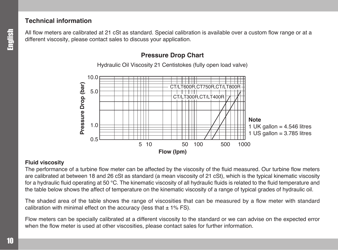# **Technical information**

All flow meters are calibrated at 21 cSt as standard. Special calibration is available over a custom flow range or at a different viscosity, please contact sales to discuss your application.

# **Pressure Drop Chart**

Hydraulic Oil Viscosity 21 Centistokes (fully open load valve)



#### **Fluid viscosity**

The performance of a turbine flow meter can be affected by the viscosity of the fluid measured. Our turbine flow meters are calibrated at between 18 and 26 cSt as standard (a mean viscosity of 21 cSt), which is the typical kinematic viscosity for a hydraulic fluid operating at 50 °C. The kinematic viscosity of all hydraulic fluids is related to the fluid temperature and the table below shows the affect of temperature on the kinematic viscosity of a range of typical grades of hydraulic oil.

The shaded area of the table shows the range of viscosities that can be measured by a flow meter with standard calibration with minimal effect on the accuracy (less that  $\pm$  1% FS).

Flow meters can be specially calibrated at a different viscosity to the standard or we can advise on the expected error when the flow meter is used at other viscosities, please contact sales for further information.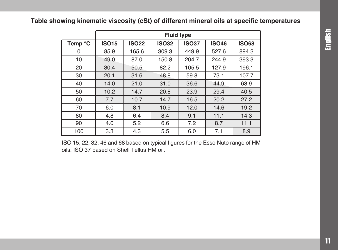# **Table showing kinematic viscosity (cSt) of different mineral oils at specific temperatures**

|         | <b>Fluid type</b> |              |              |              |              |              |
|---------|-------------------|--------------|--------------|--------------|--------------|--------------|
| Temp °C | <b>ISO15</b>      | <b>ISO22</b> | <b>ISO32</b> | <b>ISO37</b> | <b>ISO46</b> | <b>ISO68</b> |
| 0       | 85.9              | 165.6        | 309.3        | 449.9        | 527.6        | 894.3        |
| 10      | 49.0              | 87.0         | 150.8        | 204.7        | 244.9        | 393.3        |
| 20      | 30.4              | 50.5         | 82.2         | 105.5        | 127.9        | 196.1        |
| 30      | 20.1              | 31.6         | 48.8         | 59.8         | 73.1         | 107.7        |
| 40      | 14.0              | 21.0         | 31.0         | 36.6         | 44.9         | 63.9         |
| 50      | 10.2              | 14.7         | 20.8         | 23.9         | 29.4         | 40.5         |
| 60      | 7.7               | 10.7         | 14.7         | 16.5         | 20.2         | 27.2         |
| 70      | 6.0               | 8.1          | 10.9         | 12.0         | 14.6         | 19.2         |
| 80      | 4.8               | 6.4          | 8.4          | 9.1          | 11.1         | 14.3         |
| 90      | 4.0               | 5.2          | 6.6          | 7.2          | 8.7          | 11.1         |
| 100     | 3.3               | 4.3          | 5.5          | 6.0          | 7.1          | 8.9          |

ISO 15, 22, 32, 46 and 68 based on typical figures for the Esso Nuto range of HM oils. ISO 37 based on Shell Tellus HM oil.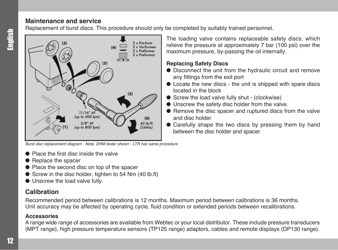# **Maintenance and service**

Replacement of burst discs. This procedure should only be completed by suitably trained personnel.



Burst disc replacement diagram - Note. DHM tester shown - LTR has same procedure

- **Place the first disc inside the valve**
- Replace the spacer
- Place the second disc on top of the spacer
- Screw in the disc holder, tighten to 54 Nm (40 lb.ft)
- $\bullet$  Unscrew the load valve fully.

# **Calibration**

Recommended period between calibrations is 12 months. Maximum period between calibrations is 36 months. Unit accuracy may be affected by operating cycle, fluid condition or extended periods between recalibrations.

### **Accessories**

A range wide range of accessories are available from Webtec or your local distributor. These include pressure transducers (MPT range), high pressure temperature sensors (TP125 range) adaptors, cables and remote displays (DP130 range).

The loading valve contains replaceable safety discs, which relieve the pressure at approximately 7 bar (100 psi) over the maximum pressure, by-passing the oil internally.

### **Replacing Safety Discs**

- l Disconnect the unit from the hydraulic circuit and remove any fittings from the exit port
- Locate the new discs the unit is shipped with spare discs located in the block
- $\bullet$  Screw the load valve fully shut (clockwise)
- $\bullet$  Unscrew the safety disc holder from the valve.
- $\bullet$  Remove the disc spacer and ruptured discs from the valve and disc holder
- Carefully shape the two discs by pressing them by hand between the disc holder and spacer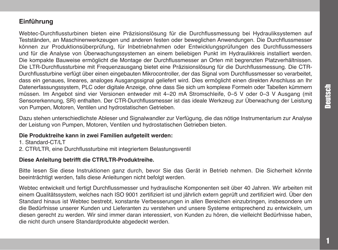# **Einführung**

Webtec-Durchflussturbinen bieten eine Präzisionslösung für die Durchflussmessung bei Hydrauliksystemen auf Testständen, an Maschinenwerkzeugen und anderen festen oder beweglichen Anwendungen. Die Durchflussmesser können zur Produktionsüberprüfung, für Inbetriebnahmen oder Entwicklungsprüfungen des Durchflussmessers und für die Analyse von Überwachungssystemen an einem beliebigen Punkt im Hydraulikkreis installiert werden. Die kompakte Bauweise ermöglicht die Montage der Durchflussmesser an Orten mit begrenzten Platzverhältnissen. Die LTR-Durchflussturbine mit Frequenzausgang bietet eine Präzisionslösung für die Durchflussmessung. Die CTR-Durchflussturbine verfügt über einen eingebauten Mikrocontroller, der das Signal vom Durchflussmesser so verarbeitet, dass ein genaues, lineares, analoges Ausgangssignal geliefert wird. Dies ermöglicht einen direkten Anschluss an Ihr Datenerfassungssystem, PLC oder digitale Anzeige, ohne dass Sie sich um komplexe Formeln oder Tabellen kümmern müssen. Im Angebot sind vier Versionen entweder mit 4–20 mA Stromschleife, 0–5 V oder 0–3 V Ausgang (mit Sensorerkennung, SR) enthalten. Der CTR-Durchflussmesser ist das ideale Werkzeug zur Überwachung der Leistung von Pumpen, Motoren, Ventilen und hydrostatischen Getrieben.

Dazu stehen unterschiedlichste Ableser und Signalwandler zur Verfügung, die das nötige Instrumentarium zur Analyse der Leistung von Pumpen, Motoren, Ventilen und hydrostatischen Getrieben bieten.

#### **Die Produktreihe kann in zwei Familien aufgeteilt werden:**

- 1. Standard-CT/LT
- 2. CTR/LTR, eine Durchflussturbine mit integriertem Belastungsventil

#### **Diese Anleitung betrifft die CTR/LTR-Produktreihe.**

Bitte lesen Sie diese Instruktionen ganz durch, bevor Sie das Gerät in Betrieb nehmen. Die Sicherheit könnte beeinträchtigt werden, falls diese Anleitungen nicht befolgt werden.

Webtec entwickelt und fertigt Durchflussmesser und hydraulische Komponenten seit über 40 Jahren. Wir arbeiten mit einem Qualitätssystem, welches nach ISO 9001 zertifiziert ist und jährlich extern geprüft und zertifiziert wird. Über den Standard hinaus ist Webtec bestrebt, konstante Verbesserungen in allen Bereichen einzubringen, insbesondere um die Bedürfnisse unserer Kunden und Lieferanten zu verstehen und unsere Systeme entsprechend zu entwickeln, um diesen gerecht zu werden. Wir sind immer daran interessiert, von Kunden zu hören, die vielleicht Bedürfnisse haben, die nicht durch unsere Standardprodukte abgedeckt werden.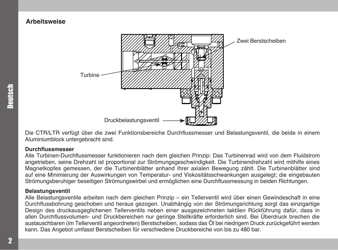# **Arbeitsweise**



Die CTR/LTR verfügt über die zwei Funktionsbereiche Durchflussmesser und Belastungsventil, die beide in einem Aluminiumblock untergebracht sind.

#### **Durchflussmesser**

Alle Turbinen-Durchflussmesser funktionieren nach dem gleichen Prinzip: Das Turbinenrad wird von dem Fluidstrom angetrieben, seine Drehzahl ist proportional zur Strömungsgeschwindigkeit. Die Turbinendrehzahl wird mithilfe eines Magnetkopfes gemessen, der die Turbinenblätter anhand ihrer axialen Bewegung zählt. Die Turbinenblätter sind auf eine Minimierung der Auswirkungen von Temperatur- und Viskositätsschwankungen ausgelegt; die eingebauten Strömungsberuhiger beseitigen Strömungswirbel und ermöglichen eine Durchflussmessung in beiden Richtungen.

#### **Belastungsventil**

Alle Belastungsventile arbeiten nach dem gleichen Prinzip – ein Tellerventil wird über einen Gewindeschaft in eine Durchflussbohrung geschoben und heraus gezogen. Unabhängig von der Strömungsrichtung sorgt das einzigartige Design des druckausgeglichenen Tellerventils neben einer ausgezeichneten taktilen Rückführung dafür, dass in allen Durchflussvolumen- und Druckbereichen nur geringe Stellkräfte erforderlich sind. Bei Überdruck brechen die austauschbaren (im Tellerventil angeordneten) Berstscheiben, sodass das Öl bei niedrigem Druck zurückgeführt werden kann. Das Angebot umfasst Berstscheiben für verschiedene Druckbereiche von bis zu 480 bar.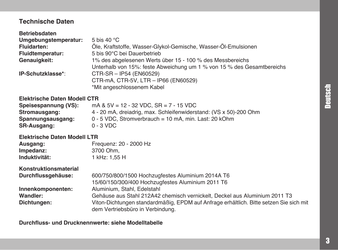# **Technische Daten**

| 5 bis 40 $\degree$ C                                                   |
|------------------------------------------------------------------------|
| Öle, Kraftstoffe, Wasser-Glykol-Gemische, Wasser-Öl-Emulsionen         |
| 5 bis 90°C bei Dauerbetrieb                                            |
| 1% des abgelesenen Werts über 15 - 100 % des Messbereichs              |
| Unterhalb von 15%: feste Abweichung um 1 % von 15 % des Gesamtbereichs |
| CTR-SR - IP54 (EN60529)                                                |
| CTR-mA, CTR-5V, LTR - IP66 (EN60529)                                   |
| *Mit angeschlossenem Kabel                                             |
|                                                                        |

### **Elektrische Daten Modell CTR**

| Speisespannung (VS): | mA & $5V = 12 - 32 \text{ VDC}$ . $SR = 7 - 15 \text{ VDC}$       |
|----------------------|-------------------------------------------------------------------|
| Stromausgang:        | 4 - 20 mA, dreiadrig, max. Schleifenwiderstand: (VS x 50)-200 Ohm |
| Spannungsausgang:    | $0 - 5$ VDC. Stromverbrauch = 10 mA, min. Last: 20 kOhm           |
| <b>SR-Ausgang:</b>   | 0 - 3 VDC                                                         |

#### **Elektrische Daten Modell LTR Ausgang:** Frequenz: 20 - 2000 Hz

| Ausyany.      | FIEUUEIIZ. ZU - ZUUU I |
|---------------|------------------------|
| Impedanz:     | 3700 Ohm,              |
| Induktivität: | 1 kHz: 1,55 H          |

# **Konstruktionsmaterial**

|                   | 15/60/150/300/400 Hochzugfestes Aluminium 2011 T6                                      |
|-------------------|----------------------------------------------------------------------------------------|
| Innenkomponenten: | Aluminium, Stahl, Edelstahl                                                            |
| Wandler:          | Gehäuse aus Stahl 212A42 chemisch vernickelt. Deckel aus Aluminium 2011 T3             |
| Dichtungen:       | Viton-Dichtungen standardmäßig, EPDM auf Anfrage erhältlich. Bitte setzen Sie sich mit |
|                   | dem Vertriebsbüro in Verbindung.                                                       |

**Durchflussgehäuse:** 600/750/800/1500 Hochzugfestes Aluminium 2014A T6

**Durchfluss- und Drucknennwerte: siehe Modelltabelle**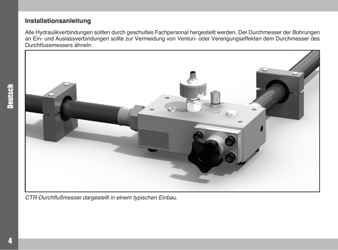# **Installationsanleitung**

Alle Hydraulikverbindungen sollten durch geschultes Fachpersonal hergestellt werden. Der Durchmesser der Bohrungen an Ein- und Auslassverbindungen sollte zur Vermeidung von Venturi- oder Verengungseffekten dem Durchmesser des Durchflussmessers ähneln.



CTR-Durchflußmesser dargestellt in einem typischen Einbau.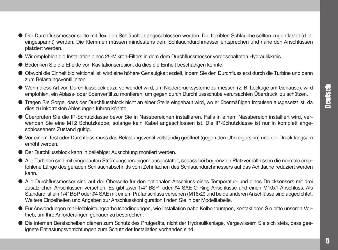- l Der Durchflussmesser sollte mit flexiblen Schläuchen angeschlossen werden. Die flexiblen Schläuche sollten zugentlastet (d. h. eingespannt) werden. Die Klemmen müssen mindestens dem Schlauchdurchmesser entsprechen und nahe den Anschlüssen platziert werden.
- l Wir empfehlen die Installation eines 25-Mikron-Filters in dem dem Durchflussmesser vorgeschalteten Hydraulikkreis.
- l Bedenken Sie die Effekte von Kavitationserosion, da dies die Einheit beschädigen könnte.
- l Obwohl die Einheit bidirektional ist, wird eine höhere Genauigkeit erzielt, indem Sie den Durchfluss erst durch die Turbine und dann zum Belastungsventil leiten.
- l Wenn diese Art von Durchflussblock dazu verwendet wird, um Niederdrucksysteme zu messen (z. B. Leckage am Gehäuse), wird empfohlen, ein Ablass- oder Sperrventil zu montieren, um gegen durch Durchflussschübe verursachten Überdruck, zu schützen.
- l Tragen Sie Sorge, dass der Durchflussblock nicht an einer Stelle eingebaut wird, wo er übermäßigen Impulsen ausgesetzt ist, da dies zu inkorrekten Ablesungen führen könnte.
- l Überprüfen Sie die IP-Schutzklasse bevor Sie in Nassbereichen installieren. Falls in einem Nassbereich installiert wird, verwenden Sie eine M12 Schutzkappe, solange kein Kabel angeschlossen ist. Die IP-Schutzklasse ist nur in komplett angeschlossenem Zustand gültig.
- l Vor einem Test oder Durchfluss muss das Belastungsventil vollständig geöffnet (gegen den Uhrzeigersinn) und der Druck langsam erhöht werden.
- $\bullet$  Der Durchflussblock kann in beliebiger Ausrichtung montiert werden.
- l Alle Turbinen sind mit eingebauten Strömungsberuhigern ausgestattet, sodass bei begrenzten Platzverhältnissen die normale empfohlene Länge des geraden Schlauchabschnitts vom Zehnfachen des Schlauchdurchmessers auf das Achtfache reduziert werden kann.
- l Alle Durchflussmesser sind auf der Oberseite für den optionalen Anschluss eines Temperatur- und eines Drucksensors mit drei zusätzlichen Anschlüssen versehen. Es gibt zwei 1/4" BSP- oder #4 SAE-O-Ring-Anschlüsse und einen M10x1-Anschluss. Als Standard ist ein 1/4" BSP oder #4 SAE mit einem Prüfanschluss versehen (M16x2) und beide anderen Anschlüsse sind abgedichtet. Weitere Einzelheiten und Angaben zur Anschlusskonfiguration finden Sie in der Modelltabelle.
- l Für Anwendungen mit Hochleistungsarbeitsbedingungen, wie Installation nahe Kolbenpumpen, kontaktieren Sie bitte unseren Vertrieb, um Ihre Anforderungen genauer zu besprechen.
- l Die internen Berstscheiben dienen zum Schutz des Prüfgeräts, nicht der Hydraulikanlage. Vergewissern Sie sich stets, dass geeignete Entlastungsvorrichtungen zum Schutz der Installation vorhanden sind.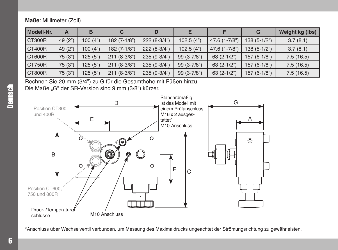**Maße**: Millimeter (Zoll)

| Modell-Nr.    | А         | в        | С             |              |             |               |               | Weight kg (lbs) |
|---------------|-----------|----------|---------------|--------------|-------------|---------------|---------------|-----------------|
| CT300R        | 49 $(2")$ | 100(4")  | 182 (7-1/8")  | 222 (8-3/4") | 102.5(4")   | 47.6 (1-7/8") | $138(5-1/2")$ | 3.7(8.1)        |
| CT400R        | 49 (2")   | 100 (4") | 182 (7-1/8")  | 222 (8-3/4") | 102.5(4")   | 47.6 (1-7/8") | 138 (5-1/2")  | 3.7(8.1)        |
| CT600R        | 75(3")    | 125(5")  | $211(8-3/8")$ | 235 (9-3/4") | 99 (3-7/8") | $63(2-1/2")$  | 157 (6-1/8")  | 7.5(16.5)       |
| <b>CT750R</b> | 75(3")    | 125 (5") | $211(8-3/8")$ | 235 (9-3/4") | 99 (3-7/8") | $63(2-1/2")$  | 157 (6-1/8")  | 7.5(16.5)       |
| CT800R        | 75(3")    | 125 (5") | $211(8-3/8")$ | 235 (9-3/4") | 99 (3-7/8") | $63(2-1/2")$  | 157 (6-1/8")  | 7.5(16.5)       |

Rechnen Sie 20 mm (3/4") zu G für die Gesamthöhe mit Füßen hinzu. Die Maße "G" der SR-Version sind 9 mm (3/8") kürzer.



\*Anschluss über Wechselventil verbunden, um Messung des Maximaldrucks ungeachtet der Strömungsrichtung zu gewährleisten.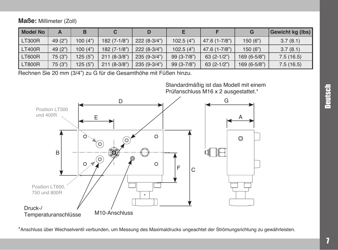**Maße:** Millimeter (Zoll)

| <b>Model No</b> |         |          |              |              |             |               |              | Gewicht kg (lbs) |
|-----------------|---------|----------|--------------|--------------|-------------|---------------|--------------|------------------|
| <b>LT300R</b>   | 49 (2"  | 100(4")  | 182 (7-1/8") | 222 (8-3/4") | 102.5(4")   | 47.6 (1-7/8") | 150(6")      | 3.7(8.1)         |
| <b>LT400R</b>   | 49 (2") | 100(4")  | 182 (7-1/8") | 222 (8-3/4") | 102.5(4")   | 47.6 (1-7/8") | 150(6")      | 3.7(8.1)         |
| <b>LT600R</b>   | 75 (3") | 125 (5") | 211 (8-3/8") | 235 (9-3/4") | 99 (3-7/8") | $63(2-1/2")$  | 169 (6-5/8") | 7.5(16.5)        |
| <b>LT800R</b>   | 75 (3") | 125(5")  | 211 (8-3/8") | 235 (9-3/4") | 99 (3-7/8") | $63(2-1/2")$  | 169 (6-5/8") | 7.5(16.5)        |

Rechnen Sie 20 mm (3/4") zu G für die Gesamthöhe mit Füßen hinzu.



\*Anschluss über Wechselventil verbunden, um Messung des Maximaldrucks ungeachtet der Strömungsrichtung zu gewährleisten.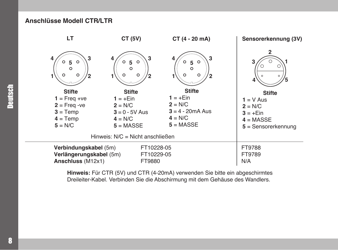# **Anschlüsse Modell CTR/LTR**



**Hinweis:** Für CTR (5V) und CTR (4-20mA) verwenden Sie bitte ein abgeschirmtes Dreileiter-Kabel. Verbinden Sie die Abschirmung mit dem Gehäuse des Wandlers.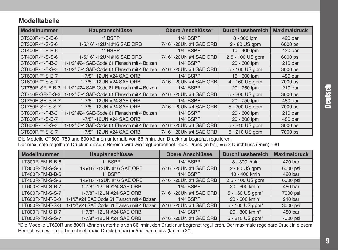# **Modelltabelle**

| <b>ModelInummer</b> | Hauptanschlüsse                                                         | Obere Anschlüsse*        | <b>Durchflussbereich</b> | <b>Maximaldruck</b> |
|---------------------|-------------------------------------------------------------------------|--------------------------|--------------------------|---------------------|
| CT300R-**-B-B-6     | 1" BSPP                                                                 | 1/4" BSPP                | 8 - 300 lpm              | 420 bar             |
| CT300B-**-S-S-6     | 1-5/16" -12UN #16 SAE ORB                                               | 7/16" - 20 UN #4 SAE ORB | 2 - 80 US qpm            | 6000 psi            |
| CT400R-**-B-B-6     | 1" BSPP                                                                 | $1/4$ " BSPP             | $10 - 400$ lpm           | 420 bar             |
| CT400R-**-S-S-6     | 1-5/16" -12UN #16 SAE ORB                                               | 7/16" - 20 UN #4 SAE ORB | 2.5 - 100 US apm         | 6000 psi            |
| CT600R-**-F-B-3     | 1-1/2" #24 SAE-Code 61 Flansch mit 4 Bolzen                             | 1/4" BSPP                | 20 - 600 lpm             | 210 bar             |
| CT600R-**-F-S-3     | 1-1/2" #24 SAE-Code 61 Flansch mit 4 Bolzen                             | 7/16" - 20 UN #4 SAE ORB | 5 - 160 US qpm           | 3000 psi            |
| CT600R-**-S-B-7     | 1-7/8" -12UN #24 SAE ORB<br>$1/4$ " BSPP                                |                          | 15 - 600 lpm             | 480 bar             |
| CT600R-**-S-S-7     | 1-7/8" -12UN #24 SAE ORB                                                | 7/16" - 20 UN #4 SAE ORB | 4 - 160 US qpm           | 7000 psi            |
| CT750R-SR-F-B-3     | 1-1/2" #24 SAE-Code 61 Flansch mit 4 Bolzen<br>1/4" BSPP                |                          | 20 - 750 lpm             | 210 <sub>bar</sub>  |
| CT750R-SR-F-S-3     | 1-1/2" #24 SAE-Code 61 Flansch mit 4 Bolzen<br>7/16" - 20 UN #4 SAE ORB |                          | 5 - 200 US qpm           | 3000 psi            |
| CT750R-SR-S-B-7     | 1-7/8" -12UN #24 SAE ORB<br>$1/4$ " BSPP                                |                          | 20 - 750 lpm             | 480 bar             |
| CT750R-SR-S-S-7     | 7/16" - 20 UN #4 SAE ORB<br>1-7/8" -12UN #24 SAE ORB                    |                          | 5 - 200 US qpm           | 7000 psi            |
| CT800R-**-F-B-3     | 1-1/2" #24 SAE-Code 61 Flansch mit 4 Bolzen                             | $1/4$ " BSPP             | 20 - 600 lpm             | 210 <sub>bar</sub>  |
| CT800R-**-S-B-7     | 1-7/8" -12UN #24 SAE ORB                                                | 1/4" BSPP                | 20 - 800 lpm             | 480 bar             |
| CT800R-**-F-S-3     | 1-1/2" #24 SAE-Code 61 Flansch mit 4 Bolzen                             | 7/16" - 20 UN #4 SAE ORB | 5 - 210 US qpm           | 3000 psi            |
| CT800R-**-S-S-7     | 1-7/8" -12UN #24 SAE ORB                                                | 7/16" - 20 UN #4 SAE ORB | 5 - 210 US qpm           | 7000 psi            |

Die Modelle CT600, 750 und 800 können unterhalb von 86 l/min. den Druck nur begrenzt regulieren. Der maximale regelbare Druck in diesem Bereich wird wie folgt berechnet: max. Druck (in bar) = 5 x Durchfluss (l/min) +30

| <b>ModelInummer</b> | Hauptanschlüsse                             | <b>Obere Anschlüsse</b>  | <b>Durchflussbereich</b> | <b>Maximaldruck</b> |
|---------------------|---------------------------------------------|--------------------------|--------------------------|---------------------|
| LT300R-FM-B-B-6     | 1" BSPP                                     | <b>1/4" BSPP</b>         | 8 - 300 l/min            | 420 bar             |
| LT300R-FM-S-S-6     | 1-5/16" -12UN #16 SAE ORB                   | 7/16" - 20 UN #4 SAE ORB | 2 - 80 US qpm            | 6000 psi            |
| LT400R-FM-B-B-6     | 1" BSPP                                     | <b>1/4" BSPP</b>         | 10 - 400 l/min           | 420 bar             |
| LT400R-FM-S-S-6     | 1-5/16" -12UN #16 SAE ORB                   | 7/16" - 20 UN #4 SAE ORB | 2.5 - 100 US qpm         | 6000 psi            |
| LT600R-FM-S-B-7     | 1-7/8" -12UN #24 SAE ORB                    | <b>1/4" BSPP</b>         | $20 - 600$ l/min*        | 480 bar             |
| LT600R-FM-S-S-7     | 1-7/8" -12UN #24 SAE ORB                    | 7/16" - 20 UN #4 SAE ORB | 5 - 160 US qpm*          | 7000 psi            |
| LT600R-FM-F-B-3     | 1-1/2" #24 SAE Code 61 Flansch mit 4 Bolzen | $1/4"$ BSPP              | 20 - 600 l/min*          | 210 <sub>bar</sub>  |
| LT600R-FM-F-S-3     | 1-1/2" #24 SAE Code 61 Flansch mit 4 Bolzen | 7/16" - 20 UN #4 SAE ORB | 5 - 160 US qpm*          | 3000 psi            |
| LT800R-FM-S-B-7     | 1-7/8" -12UN #24 SAE ORB                    | <b>1/4" BSPP</b>         | 20 - 800 l/min*          | 480 bar             |
| LT800R-FM-S-S-7     | 1-7/8" -12UN #24 SAE ORB                    | 7/16" - 20 UN #4 SAE ORB | 5 - 210 US qpm*          | 7000 psi            |

\*Die Modelle LT600R und 800R können unterhalb von 86 l/min. den Druck nur begrenzt regulieren. Der maximale regelbare Druck in diesem Bereich wird wie folgt berechnet: max. Druck (in bar) =  $5 \times$  Durchfluss (l/min) +30.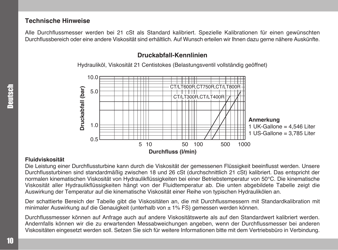# **Technische Hinweise**

Alle Durchflussmesser werden bei 21 cSt als Standard kalibriert. Spezielle Kalibrationen für einen gewünschten Durchflussbereich oder eine andere Viskosität sind erhältlich. Auf Wunsch erteilen wir Ihnen dazu gerne nähere Auskünfte.

# **Druckabfall-Kennlinien**

Hydrauliköl, Viskosität 21 Centistokes (Belastungsventil vollständig geöffnet)



#### **Fluidviskosität**

Die Leistung einer Durchflussturbine kann durch die Viskosität der gemessenen Flüssigkeit beeinflusst werden. Unsere Durchflussturbinen sind standardmäßig zwischen 18 und 26 cSt (durchschnittlich 21 cSt) kalibriert. Das entspricht der normalen kinematischen Viskosität von Hydraulikflüssigkeiten bei einer Betriebstemperatur von 50°C. Die kinematische Viskosität aller Hydraulikflüssigkeiten hängt von der Fluidtemperatur ab. Die unten abgebildete Tabelle zeigt die Auswirkung der Temperatur auf die kinematische Viskosität einer Reihe von typischen Hydraulikölen an.

Der schattierte Bereich der Tabelle gibt die Viskositäten an, die mit Durchflussmessern mit Standardkalibration mit minimaler Auswirkung auf die Genauigkeit (unterhalb von ± 1% FS) gemessen werden können.

Durchflussmesser können auf Anfrage auch auf andere Viskositätswerte als auf den Standardwert kalibriert werden. Andernfalls können wir die zu erwartenden Messabweichungen angeben, wenn der Durchflussmesser bei anderen Viskositäten eingesetzt werden soll. Setzen Sie sich für weitere Informationen bitte mit dem Vertriebsbüro in Verbindung.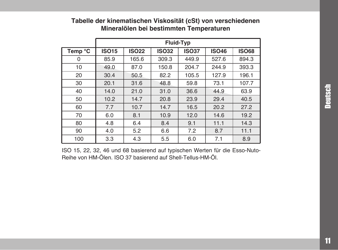|         | <b>Fluid-Typ</b> |              |              |              |              |              |  |  |
|---------|------------------|--------------|--------------|--------------|--------------|--------------|--|--|
| Temp °C | <b>ISO15</b>     | <b>ISO22</b> | <b>ISO32</b> | <b>ISO37</b> | <b>ISO46</b> | <b>ISO68</b> |  |  |
| 0       | 85.9             | 165.6        | 309.3        | 449.9        | 527.6        | 894.3        |  |  |
| 10      | 49.0             | 87.0         | 150.8        | 204.7        | 244.9        | 393.3        |  |  |
| 20      | 30.4             | 50.5         | 82.2         | 105.5        | 127.9        | 196.1        |  |  |
| 30      | 20.1             | 31.6         | 48.8         | 59.8         | 73.1         | 107.7        |  |  |
| 40      | 14.0             | 21.0         | 31.0         | 36.6         | 44.9         | 63.9         |  |  |
| 50      | 10.2             | 14.7         | 20.8         | 23.9         | 29.4         | 40.5         |  |  |
| 60      | 7.7              | 10.7         | 14.7         | 16.5         | 20.2         | 27.2         |  |  |
| 70      | 6.0              | 8.1          | 10.9         | 12.0         | 14.6         | 19.2         |  |  |
| 80      | 4.8              | 6.4          | 8.4          | 9.1          | 11.1         | 14.3         |  |  |
| 90      | 4.0              | 5.2          | 6.6          | 7.2          | 8.7          | 11.1         |  |  |
| 100     | 3.3              | 4.3          | 5.5          | 6.0          | 7.1          | 8.9          |  |  |

# **Tabelle der kinematischen Viskosität (cSt) von verschiedenen Mineralölen bei bestimmten Temperaturen**

ISO 15, 22, 32, 46 und 68 basierend auf typischen Werten für die Esso-Nuto-Reihe von HM-Ölen. ISO 37 basierend auf Shell-Tellus-HM-Öl.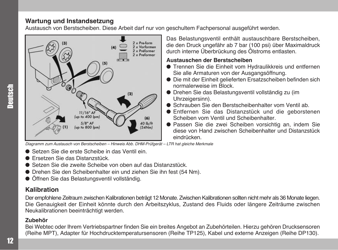# **Wartung und Instandsetzung**

Austausch von Berstscheiben. Diese Arbeit darf nur von geschultem Fachpersonal ausgeführt werden.



Das Belastungsventil enthält austauschbare Berstscheiben, die den Druck ungefähr ab 7 bar (100 psi) über Maximaldruck durch interne Überbrückung des Ölstroms entlasten.

#### **Austauschen der Berstscheiben**

- Trennen Sie die Einheit vom Hydraulikkreis und entfernen Sie alle Armaturen von der Ausgangsöffnung.
- l Die mit der Einheit gelieferten Ersatzscheiben befinden sich normalerweise im Block.
- Drehen Sie das Belastungsventil vollständig zu (im Uhrzeigersinn).
- **Schrauben Sie den Berstscheibenhalter vom Ventil ab.**
- l Entfernen Sie das Distanzstück und die geborstenen Scheiben vom Ventil und Scheibenhalter.
- l Passen Sie die zwei Scheiben vorsichtig an, indem Sie diese von Hand zwischen Scheibenhalter und Distanzstück eindrücken.

Diagramm zum Austausch von Berstscheiben – Hinweis Abb. DHM-Prüfgerät – LTR hat gleiche Merkmale

- l Setzen Sie die erste Scheibe in das Ventil ein.
- **Ersetzen Sie das Distanzstück.**
- Setzen Sie die zweite Scheibe von oben auf das Distanzstück
- l Drehen Sie den Scheibenhalter ein und ziehen Sie ihn fest (54 Nm).
- l Öffnen Sie das Belastungsventil vollständig.

# **Kalibration**

Der empfohlene Zeitraum zwischen Kalibrationen beträgt 12 Monate. Zwischen Kalibrationen sollten nicht mehr als 36 Monate liegen. Die Genauigkeit der Einheit könnte durch den Arbeitszyklus, Zustand des Fluids oder längere Zeiträume zwischen Neukalibrationen beeinträchtigt werden.

# **Zubehör**

Bei Webtec oder Ihrem Vertriebspartner finden Sie ein breites Angebot an Zubehörteilen. Hierzu gehören Drucksensoren (Reihe MPT), Adapter für Hochdrucktemperatursensoren (Reihe TP125), Kabel und externe Anzeigen (Reihe DP130).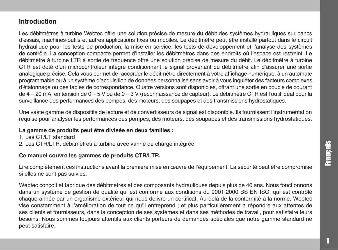# **Introduction**

Les débitmètres à turbine Webtec offre une solution précise de mesure du débit des systèmes hydrauliques sur bancs d'essais, machines-outils et autres applications fixes ou mobiles. Le débitmètre peut être installé partout dans le circuit hydraulique pour les tests de production, la mise en service, les tests de développement et l'analyse des systèmes de contrôle. La conception compacte permet d'installer les débitmètres dans des endroits où l'espace est restreint. Le débitmètre à turbine LTR à sortie de fréquence offre une solution précise de mesure du débit. Le débitmètre à turbine CTR est doté d'un microcontrôleur intégré conditionnant le signal provenant du débitmètre afin d'assurer une sortie analogique précise. Cela vous permet de raccorder le débitmètre directement à votre affichage numérique, à un automate programmable ou à un système d'acquisition de données personnalisé sans avoir à vous inquiéter des facteurs complexes d'étalonnage ou des tables de correspondance. Quatre versions sont disponibles, offrant une sortie en boucle de courant de 4 – 20 mA, en tension de 0 – 5 V ou de 0 – 3 V (reconnaissance de capteur). Le débitmètre CTR est l'outil idéal pour la surveillance des performances des pompes, des moteurs, des soupapes et des transmissions hydrostatiques.

Une vaste gamme de dispositifs de lecture et de convertisseurs de signal est disponible. Ils fournissent l'instrumentation requise pour analyser les performances des pompes, des moteurs, des soupapes et des transmissions hydrostatiques.

#### **La gamme de produits peut être divisée en deux familles :**

- 1. Les CT/LT standard
- 2. Les CTR/LTR, débitmètres à turbine avec vanne de charge intégrée

# **Ce manuel couvre les gammes de produits CTR/LTR.**

Lire complètement ces instructions avant la première mise en œuvre de l'équipement. La sécurité peut être compromise si elles ne sont pas suivies.

Webtec concoit et fabrique des débitmètres et des composants hydrauliques depuis plus de 40 ans. Nous fonctionnons dans un système de gestion de qualité qui est conforme aux conditions du 9001:2000 BS EN ISO, qui est contrôlé chaque année par un organisme extérieur qui nous délivre un certificat. Au-delà de la conformité à la norme, Webtec vise constamment à l'amélioration de tout ce qu'il entreprend ; et plus particulièrement à répondre aux attentes de ses clients et fournisseurs, dans la conception de ses systèmes et dans ses méthodes de travail, pour satisfaire leurs besoins. Nous sommes toujours attentifs aux clients porteurs de demandes spéciales que notre gamme standard ne peut satisfaire.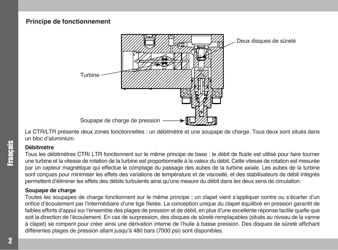# **Principe de fonctionnement**



Le CTR/LTR présente deux zones fonctionnelles : un débitmètre et une soupape de charge. Tous deux sont situés dans un bloc d'aluminium.

#### **Débitmètre**

Tous les débitmètres CTR/ LTR fonctionnent sur le même principe de base : le débit de fluide est utilisé pour faire tourner une turbine et la vitesse de rotation de la turbine est proportionnelle à la valeur du débit. Cette vitesse de rotation est mesurée par un capteur magnétique qui effectue le comptage du passage des aubes de la turbine axiale. Les aubes de la turbine sont conçues pour minimiser les effets des variations de température et de viscosité, et des stabilisateurs de débit intégrés permettent d'éliminer les effets des débits turbulents ainsi qu'une mesure du débit dans les deux sens de circulation.

#### **Soupape de charge**

Toutes les soupapes de charge fonctionnent sur le même principe : un clapet vient s'appliquer contre ou s'écarter d'un orifice d'écoulement par l'intermédiaire d'une tige filetée. La conception unique du clapet équilibré en pression garantit de faibles efforts d'appui sur l'ensemble des plages de pression et de débit, en plus d'une excellente réponse tactile quelle que soit la direction de l'écoulement. En cas de surpression, des disques de sûreté remplaçables (situés au niveau de la vanne à clapet) se rompent pour créer ainsi une dérivation interne de l'huile à basse pression. Des disques de sûreté affichant différentes plages de pression allant jusqu'à 480 bars (7000 psi) sont disponibles.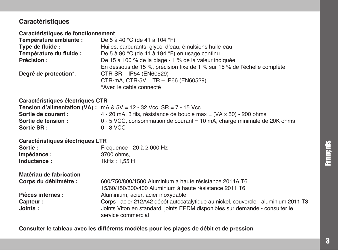# **Caractéristiques**

#### **Caractéristiques de fonctionnement**

| Température ambiante :  | De 5 à 40 °C (de 41 à 104 °F)                                            |
|-------------------------|--------------------------------------------------------------------------|
| Type de fluide :        | Huiles, carburants, glycol d'eau, émulsions huile-eau                    |
| Température du fluide : | De 5 à 90 °C (de 41 à 194 °F) en usage continu                           |
| Précision :             | De 15 à 100 % de la plage - 1 % de la valeur indiquée                    |
|                         | En dessous de 15 %, précision fixe de 1 % sur 15 % de l'échelle complète |
| Degré de protection*:   | CTR-SR - IP54 (EN60529)                                                  |
|                         | CTR-mA, CTR-5V, LTR - IP66 (EN60529)                                     |
|                         | *Avec le câble connecté                                                  |

#### **Caractéristiques électriques CTR**

|                     | <b>Tension d'alimentation (VA) :</b> mA & $5V = 12 - 32$ Vcc, $SR = 7 - 15$ Vcc |
|---------------------|---------------------------------------------------------------------------------|
| Sortie de courant : | 4 - 20 mA, 3 fils, résistance de boucle max = (VA x 50) - 200 ohms              |
| Sortie de tension : | $0 - 5$ VCC, consommation de courant = 10 mA, charge minimale de 20K ohms       |
| Sortie SR :         | 0 - 3 VCC                                                                       |

## **Caractéristiques électriques LTR**

| Sortie :    | Fréquence - 20 à 2 000 Hz |
|-------------|---------------------------|
| Impédance : | 3700 ohms.                |
| Inductance: | 1kHz: 1.55 H              |

# **Matériau de fabrication**

| Corps du débitmètre : | 600/750/800/1500 Aluminium à haute résistance 2014A T6                              |
|-----------------------|-------------------------------------------------------------------------------------|
|                       | 15/60/150/300/400 Aluminium à haute résistance 2011 T6                              |
| Pièces internes :     | Aluminium, acier, acier inoxydable                                                  |
| Capteur:              | Corps - acier 212A42 dépôt autocatalytique au nickel, couvercle - aluminium 2011 T3 |
| Joints :              | Joints Viton en standard, joints EPDM disponibles sur demande - consulter le        |
|                       | service commercial                                                                  |

# **Consulter le tableau avec les différents modèles pour les plages de débit et de pression**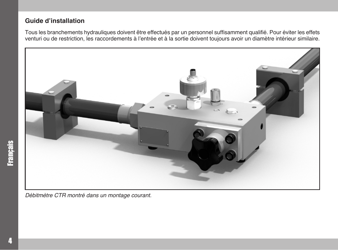# **Guide d'installation**

Tous les branchements hydrauliques doivent être effectués par un personnel suffisamment qualifié. Pour éviter les effets venturi ou de restriction, les raccordements à l'entrée et à la sortie doivent toujours avoir un diamètre intérieur similaire.



Débitmètre CTR montré dans un montage courant.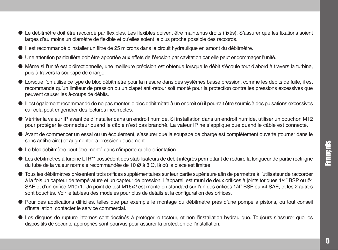- l Le débitmètre doit être raccordé par flexibles. Les flexibles doivent être maintenus droits (fixés). S'assurer que les fixations soient larges d'au moins un diamètre de flexible et qu'elles soient le plus proche possible des raccords.
- l Il est recommandé d'installer un filtre de 25 microns dans le circuit hydraulique en amont du débitmètre.
- l Une attention particulière doit être apportée aux effets de l'érosion par cavitation car elle peut endommager l'unité.
- l Même si l'unité est bidirectionnelle, une meilleure précision est obtenue lorsque le débit s'écoule tout d'abord à travers la turbine, puis à travers la soupape de charge.
- l Lorsque l'on utilise ce type de bloc débitmètre pour la mesure dans des systèmes basse pression, comme les débits de fuite, il est recommandé qu'un limiteur de pression ou un clapet anti-retour soit monté pour la protection contre les pressions excessives que peuvent causer les à-coups de débits.
- l Il est également recommandé de ne pas monter le bloc débitmètre à un endroit où il pourrait être soumis à des pulsations excessives car cela peut engendrer des lectures incorrectes.
- l Vérifier la valeur IP avant de d'installer dans un endroit humide. Si installation dans un endroit humide, utiliser un bouchon M12 pour protéger le connecteur quand le câble n'est pas branché. La valeur IP ne s'applique que quand le câble est connecté.
- l Avant de commencer un essai ou un écoulement, s'assurer que la soupape de charge est complètement ouverte (tourner dans le sens antihoraire) et augmenter la pression doucement.
- l Le bloc débitmètre peut être monté dans n'importe quelle orientation.
- l Les débitmètres à turbine LTR\*\* possèdent des stabilisateurs de débit intégrés permettant de réduire la longueur de partie rectiligne du tube de la valeur normale recommandée de 10  $\varnothing$  à 8  $\varnothing$ , là où la place est limitée.
- l Tous les débitmètres présentent trois orifices supplémentaires sur leur partie supérieure afin de permettre à l'utilisateur de raccorder à la fois un capteur de température et un capteur de pression. L'appareil est muni de deux orifices à joints toriques 1/4" BSP ou #4 SAE et d'un orifice M10x1. Un point de test M16x2 est monté en standard sur l'un des orifices 1/4" BSP ou #4 SAE, et les 2 autres sont bouchés. Voir le tableau des modèles pour plus de détails et la configuration des orifices.
- l Pour des applications difficiles, telles que par exemple le montage du débitmètre près d'une pompe à pistons, ou tout conseil d'installation, contacter le service commercial.
- l Les disques de rupture internes sont destinés à protéger le testeur, et non l'installation hydraulique. Toujours s'assurer que les dispositifs de sécurité appropriés sont pourvus pour assurer la protection de l'installation.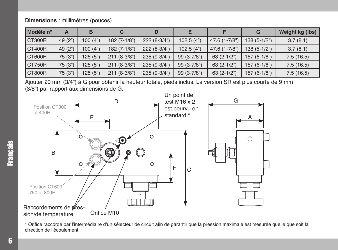**Dimensions** : millimètres (pouces)

| Modèle n° | Α       | в       | C              |              |             |               |               | Weight kg (lbs) |
|-----------|---------|---------|----------------|--------------|-------------|---------------|---------------|-----------------|
| CT300R    | 49 (2") | 100(4") | 182 (7-1/8")   | 222 (8-3/4") | 102.5(4")   | 47.6 (1-7/8") | $138(5-1/2")$ | 3.7(8.1)        |
| CT400R    | 49 (2") | 100(4") | 182 (7-1/8")   | 222 (8-3/4") | 102.5(4")   | 47.6 (1-7/8") | $138(5-1/2")$ | 3.7(8.1)        |
| CT600R    | 75(3")  | 125(5") | $211 (8-3/8")$ | 235 (9-3/4") | 99 (3-7/8") | $63(2-1/2")$  | 157 (6-1/8")  | 7.5(16.5)       |
| CT750R    | 75 (3") | 125(5") | $211 (8-3/8")$ | 235 (9-3/4") | 99 (3-7/8") | $63(2-1/2")$  | $157(6-1/8")$ | 7.5(16.5)       |
| CT800R    | 75 (3") | 125(5") | $211 (8-3/8")$ | 235 (9-3/4") | 99 (3-7/8") | $63(2-1/2")$  | 157 (6-1/8")  | 7.5(16.5)       |

Ajouter 20 mm (3/4") à G pour obtenir la hauteur totale, pieds inclus. La version SR est plus courte de 9 mm (3/8") par rapport aux dimensions de G.



\* Orifice raccordé par l'intermédiaire d'un sélecteur de circuit afin de garantir que la pression maximale est mesurée quelle que soit la direction de l'écoulement.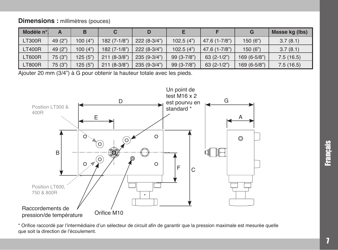# **Dimensions :** millimètres (pouces)

| Modèle n°    |         |          |              |              |             |                  |              | Masse kg (lbs) |
|--------------|---------|----------|--------------|--------------|-------------|------------------|--------------|----------------|
| LT300R       | 49 (2") | 100(4")  | 182 (7-1/8") | 222 (8-3/4") | 102.5(4")   | $47.6(1 - 7/8")$ | 150 (6")     | 3.7(8.1)       |
| <b>T400R</b> | 49 (2") | 100(4")  | 182 (7-1/8") | 222 (8-3/4") | 102.5(4")   | 47.6 (1-7/8")    | 150 (6")     | 3.7(8.1)       |
| <b>T600R</b> | 75 (3") | 125(5")  | 211 (8-3/8") | 235 (9-3/4") | 99 (3-7/8") | $63(2-1/2")$     | 169 (6-5/8") | 7.5(16.5)      |
| LT800R       | 75 (3") | 125 (5") | 211 (8-3/8") | 235 (9-3/4") | 99 (3-7/8") | $63(2-1/2")$     | 169 (6-5/8") | 7.5(16.5)      |

Ajouter 20 mm (3/4") à G pour obtenir la hauteur totale avec les pieds.



\* Orifice raccordé par l'intermédiaire d'un sélecteur de circuit afin de garantir que la pression maximale est mesurée quelle que soit la direction de l'écoulement.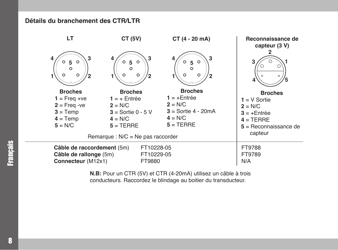# **Détails du branchement des CTR/LTR**



**N.B:** Pour un CTR (5V) et CTR (4-20mA) utilisez un câble à trois conducteurs. Raccordez le blindage au boitier du transducteur.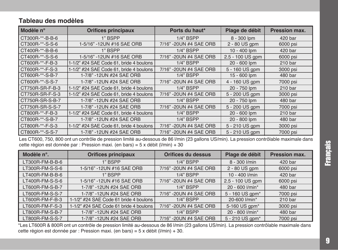# **Tableau des modèles**

| Modèle n°           | <b>Orifices principaux</b>              | Ports du haut*           | Plage de débit   | Pression max.      |
|---------------------|-----------------------------------------|--------------------------|------------------|--------------------|
| CT300R-**-B-B-6     | 1" BSPP                                 | <b>1/4" BSPP</b>         | 8 - 300 lpm      | 420 bar            |
| CT300R-**-S-S-6     | 1-5/16" -12UN #16 SAE ORB               | 7/16" - 20 UN #4 SAE ORB | 2 - 80 US qpm    | 6000 psi           |
| CT400R-**-B-B-6     | 1" BSPP                                 | 1/4" BSPP                | 10 - 400 lpm     | 420 bar            |
| CT400R-**-S-S-6     | 1-5/16" -12UN #16 SAE ORB               | 7/16" - 20 UN #4 SAE ORB | 2.5 - 100 US qpm | 6000 psi           |
| CT600R-**-F-B-3     | 1-1/2" #24 SAE Code 61, bride 4 boulons | $1/4$ " BSPP             | 20 - 600 lpm     | 210 <sub>bar</sub> |
| $C_{T600R-*-F-S-3}$ | 1-1/2" #24 SAE Code 61, bride 4 boulons | 7/16" - 20 UN #4 SAE ORB | 5 - 160 US apm   | 3000 psi           |
| CT600R-**-S-B-7     | 1-7/8" -12UN #24 SAE ORB                | 1/4" BSPP                | 15 - 600 lpm     | 480 bar            |
| CT600R-**-S-S-7     | 1-7/8" -12UN #24 SAE ORB                | 7/16" - 20 UN #4 SAE ORB | 4 - 160 US apm   | 7000 psi           |
| CT750R-SR-F-B-3     | 1-1/2" #24 SAE Code 61, bride 4 boulons | $1/4$ " BSPP             | 20 - 750 lpm     | 210 <sub>bar</sub> |
| CT750R-SR-F-S-3     | 1-1/2" #24 SAE Code 61, bride 4 boulons | 7/16" - 20 UN #4 SAE ORB | 5 - 200 US qpm   | 3000 psi           |
| CT750R-SR-S-B-7     | 1-7/8" -12UN #24 SAE ORB                | 1/4" BSPP                | 20 - 750 lpm     | 480 bar            |
| CT750B-SB-S-S-7     | 1-7/8" -12UN #24 SAE ORB                | 7/16" - 20 UN #4 SAE ORB | 5 - 200 US apm   | 7000 psi           |
| CT800R-**-F-B-3     | 1-1/2" #24 SAE Code 61, bride 4 boulons | $1/4$ " BSPP             | 20 - 600 lpm     | 210 <sub>bar</sub> |
| CT800R-**-S-B-7     | 1-7/8" -12UN #24 SAE ORB                | 1/4" BSPP                | 20 - 800 lpm     | 480 bar            |
| CT800R-**-F-S-3     | 1-1/2" #24 SAE Code 61, bride 4 boulons | 7/16" - 20 UN #4 SAE ORB | 5 - 210 US apm   | 3000 psi           |
| CT800R-**-S-S-7     | 1-7/8" -12UN #24 SAE ORB                | 7/16" - 20 UN #4 SAE ORB | 5 - 210 US apm   | 7000 psi           |

Les CT600, 750, 800 ont un contrôle de pression limité au-dessous de 86 l/min (23 gallons US/min). La pression contrôlable maximale dans cette région est donnée par : Pression maxi. (en bars) = 5 x débit (l/min) + 30

| Modèle n°.      | <b>Orifices principaux</b>             | Orifices du dessus       | Plage de débit   | Pression max.      |
|-----------------|----------------------------------------|--------------------------|------------------|--------------------|
| LT300R-FM-B-B-6 | 1" BSPP                                | <b>1/4" BSPP</b>         | 8 - 300 l/min    | 420 bar            |
| LT300R-FM-S-S-6 | 1-5/16" -12UN #16 SAE ORB              | 7/16" - 20 UN #4 SAE ORB | 2 - 80 US qpm    | 6000 psi           |
| LT400R-FM-B-B-6 | 1" BSPP                                | <b>1/4" BSPP</b>         | $10 - 400$ I/min | 420 bar            |
| LT400R-FM-S-S-6 | 1-5/16" -12UN #16 SAE ORB              | 7/16" - 20 UN #4 SAE ORB | 2.5 - 100 US qpm | 6000 psi           |
| LT600R-FM-S-B-7 | 1-7/8" -12UN #24 SAE ORB               | 1/4" BSPP                | 20 - 600 l/min*  | 480 bar            |
| LT600R-FM-S-S-7 | 1-7/8" -12UN #24 SAE ORB               | 7/16" - 20 UN #4 SAE ORB | 5 - 160 US apm*  | 7000 psi           |
| LT600R-FM-F-B-3 | 1-1/2" #24 SAE Code 61 bride 4 boulons | $1/4$ " BSPP             | 20-600 l/min*    | 210 <sub>bar</sub> |
| LT600R-FM-F-S-3 | 1-1/2" #24 SAE Code 61 bride 4 boulons | 7/16" - 20 UN #4 SAE ORB | 5-160 US qpm*    | 3000 psi           |
| LT800R-FM-S-B-7 | 1-7/8" -12UN #24 SAE ORB               | <b>1/4" BSPP</b>         | 20 - 800 l/min*  | 480 bar            |
| LT800R-FM-S-S-7 | 1-7/8" -12UN #24 SAE ORB               | 7/16" - 20 UN #4 SAE ORB | 5 - 210 US apm*  | 7000 psi           |

\*Les LT600R & 800R ont un contrôle de pression limité au-dessous de 86 l/min (23 gallons US/min). La pression contrôlable maximale dans cette région est donnée par : Pression maxi. (en bars) = 5 x débit (l/min) + 30.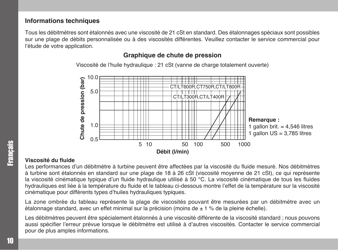# **Informations techniques**

Tous les débitmètres sont étalonnés avec une viscosité de 21 cSt en standard. Des étalonnages spéciaux sont possibles sur une plage de débits personnalisée ou à des viscosités différentes. Veuillez contacter le service commercial pour l'étude de votre application.

# **Graphique de chute de pression**

Viscosité de l'huile hydraulique : 21 cSt (vanne de charge totalement ouverte)



# **Francais** 10Français<br>10Français<br>10Français

#### **Viscosité du fluide**

Les performances d'un débitmètre à turbine peuvent être affectées par la viscosité du fluide mesuré. Nos débitmètres à turbine sont étalonnés en standard sur une plage de 18 à 26 cSt (viscosité moyenne de 21 cSt), ce qui représente la viscosité cinématique typique d'un fluide hydraulique utilisé à 50 °C. La viscosité cinématique de tous les fluides hydrauliques est liée à la température du fluide et le tableau ci-dessous montre l'effet de la température sur la viscosité cinématique pour différents types d'huiles hydrauliques typiques.

La zone ombrée du tableau représente la plage de viscosités pouvant être mesurées par un débitmètre avec un étalonnage standard, avec un effet minimal sur la précision (moins de ± 1 % de la pleine échelle).

Les débitmètres peuvent être spécialement étalonnés à une viscosité différente de la viscosité standard ; nous pouvons aussi spécifier l'erreur prévue lorsque le débitmètre est utilisé à d'autres viscosités. Contacter le service commercial pour de plus amples informations.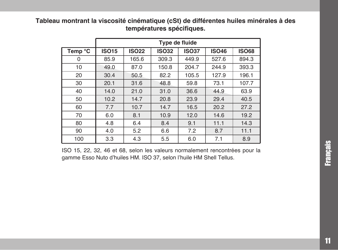# **Tableau montrant la viscosité cinématique (cSt) de différentes huiles minérales à des températures spécifiques.**

|         | Type de fluide |              |              |              |              |              |  |
|---------|----------------|--------------|--------------|--------------|--------------|--------------|--|
| Temp °C | <b>ISO15</b>   | <b>ISO22</b> | <b>ISO32</b> | <b>ISO37</b> | <b>ISO46</b> | <b>ISO68</b> |  |
| 0       | 85.9           | 165.6        | 309.3        | 449.9        | 527.6        | 894.3        |  |
| 10      | 49.0           | 87.0         | 150.8        | 204.7        | 244.9        | 393.3        |  |
| 20      | 30.4           | 50.5         | 82.2         | 105.5        | 127.9        | 196.1        |  |
| 30      | 20.1           | 31.6         | 48.8         | 59.8         | 73.1         | 107.7        |  |
| 40      | 14.0           | 21.0         | 31.0         | 36.6         | 44.9         | 63.9         |  |
| 50      | 10.2           | 14.7         | 20.8         | 23.9         | 29.4         | 40.5         |  |
| 60      | 7.7            | 10.7         | 14.7         | 16.5         | 20.2         | 27.2         |  |
| 70      | 6.0            | 8.1          | 10.9         | 12.0         | 14.6         | 19.2         |  |
| 80      | 4.8            | 6.4          | 8.4          | 9.1          | 11.1         | 14.3         |  |
| 90      | 4.0            | 5.2          | 6.6          | 7.2          | 8.7          | 11.1         |  |
| 100     | 3.3            | 4.3          | 5.5          | 6.0          | 7.1          | 8.9          |  |

ISO 15, 22, 32, 46 et 68, selon les valeurs normalement rencontrées pour la gamme Esso Nuto d'huiles HM. ISO 37, selon l'huile HM Shell Tellus.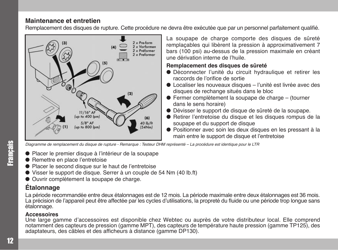# **Maintenance et entretien**

Remplacement des disques de rupture. Cette procédure ne devra être exécutée que par un personnel parfaitement qualifié.



Diagramme de remplacement du disque de rupture - Remarque : Testeur DHM représenté – La procédure est identique pour le LTR

- l Placer le premier disque à l'intérieur de la soupape
- Remettre en place l'entretoise
- Placer le second disque sur le haut de l'entretoise
- l Visser le support de disque. Serrer à un couple de 54 Nm (40 lb.ft)
- l Ouvrir complètement la soupape de charge.

# **Étalonnage**

La période recommandée entre deux étalonnages est de 12 mois. La période maximale entre deux étalonnages est 36 mois. La précision de l'appareil peut être affectée par les cycles d'utilisations, la propreté du fluide ou une période trop longue sans étalonnage.

#### **Accessoires**

Une large gamme d'accessoires est disponible chez Webtec ou auprès de votre distributeur local. Elle comprend notamment des capteurs de pression (gamme MPT), des capteurs de température haute pression (gamme TP125), des adaptateurs, des câbles et des afficheurs à distance (gamme DP130).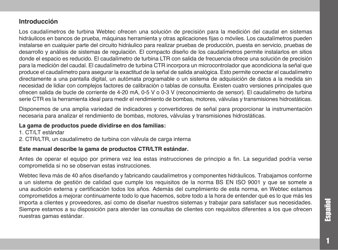# **Introducción**

Los caudalímetros de turbina Webtec ofrecen una solución de precisión para la medición del caudal en sistemas hidráulicos en bancos de prueba, máquinas herramienta y otras aplicaciones fijas o móviles. Los caudalímetros pueden instalarse en cualquier parte del circuito hidráulico para realizar pruebas de producción, puesta en servicio, pruebas de desarrollo y análisis de sistemas de regulación. El compacto diseño de los caudalímetros permite instalarlos en sitios donde el espacio es reducido. El caudalímetro de turbina LTR con salida de frecuencia ofrece una solución de precisión para la medición del caudal. El caudalímetro de turbina CTR incorpora un microcontrolador que acondiciona la señal que produce el caudalímetro para asegurar la exactitud de la señal de salida analógica. Esto permite conectar el caudalímetro directamente a una pantalla digital, un autómata programable o un sistema de adquisición de datos a la medida sin necesidad de lidiar con complejos factores de calibración o tablas de consulta. Existen cuatro versiones principales que ofrecen salida de bucle de corriente de 4-20 mA, 0-5 V o 0-3 V (reconocimiento de sensor). El caudalímetro de turbina serie CTR es la herramienta ideal para medir el rendimiento de bombas, motores, válvulas y transmisiones hidrostáticas.

Disponemos de una amplia variedad de indicadores y convertidores de señal para proporcionar la instrumentación necesaria para analizar el rendimiento de bombas, motores, válvulas y transmisiones hidrostáticas.

#### **La gama de productos puede dividirse en dos familias:**

- 1. CT/LT estándar
- 2. CTR/LTR, un caudalímetro de turbina con válvula de carga interna

#### **Este manual describe la gama de productos CTR/LTR estándar.**

Antes de operar el equipo por primera vez lea estas instrucciones de principio a fin. La seguridad podría verse comprometida si no se observan estas instrucciones.

Webtec lleva más de 40 años diseñando y fabricando caudalímetros y componentes hidráulicos. Trabajamos conforme a un sistema de gestión de calidad que cumple los requisitos de la norma BS EN ISO 9001 y que se somete a una audición externa y certificación todos los años. Además del cumplimiento de esta norma, en Webtec estamos comprometidos a mejorar continuamente todo lo que hacemos, sobre todo a la hora de entender qué es lo que más les importa a clientes y proveedores, así como de diseñar nuestros sistemas y trabajar para satisfacer sus necesidades. Siempre estamos a su disposición para atender las consultas de clientes con requisitos diferentes a los que ofrecen nuestras gamas estándar.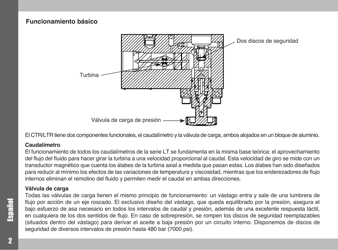# **Funcionamiento básico**



El CTR/LTR tiene dos componentes funcionales, el caudalímetro y la válvula de carga, ambos alojados en un bloque de aluminio.

#### **Caudalímetro**

El funcionamiento de todos los caudalímetros de la serie LT se fundamenta en la misma base teórica: el aprovechamiento del flujo del fluido para hacer girar la turbina a una velocidad proporcional al caudal. Esta velocidad de giro se mide con un transductor magnético que cuenta los álabes de la turbina axial a medida que pasan estas. Los álabes han sido diseñados para reducir al mínimo los efectos de las variaciones de temperatura y viscosidad, mientras que los enderezadores de flujo internos eliminan el remolino del fluido y permiten medir el caudal en ambas direcciones.

#### **Válvula de carga**

Todas las válvulas de carga tienen el mismo principio de funcionamiento: un vástago entra y sale de una lumbrera de flujo por acción de un eje roscado. El exclusivo diseño del vástago, que queda equilibrado por la presión, asegura el bajo esfuerzo de asa necesario en todos los intervalos de caudal y presión, además de una excelente respuesta táctil, en cualquiera de los dos sentidos de flujo. En caso de sobrepresión, se rompen los discos de seguridad reemplazables (situados dentro del vástago) para derivar el aceite a baja presión por un circuito interno. Disponemos de discos de seguridad de diversos intervalos de presión hasta 480 bar (7000 psi).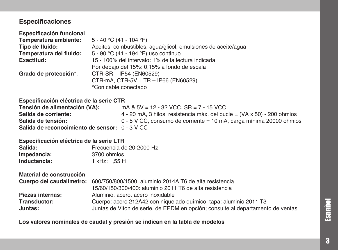# **Especificaciones**

| Especificación funcional |                                                               |
|--------------------------|---------------------------------------------------------------|
| Temperatura ambiente:    | 5 - 40 °C (41 - 104 °F)                                       |
| Tipo de fluido:          | Aceites, combustibles, agua/glicol, emulsiones de aceite/agua |
| Temperatura del fluido:  | 5 - 90 °C (41 - 194 °F) uso continuo                          |
| Exactitud:               | 15 - 100% del intervalo: 1% de la lectura indicada            |
|                          | Por debajo del 15%: 0,15% a fondo de escala                   |
| Grado de protección*:    | CTR-SR - IP54 (EN60529)                                       |
|                          | CTR-mA, CTR-5V, LTR - IP66 (EN60529)                          |
|                          | *Con cable conectado                                          |
|                          |                                                               |

# **Especificación eléctrica de la serie CTR**

| Tensión de alimentación (VA):                  | mA & $5V = 12 - 32$ VCC, $SR = 7 - 15$ VCC                                     |
|------------------------------------------------|--------------------------------------------------------------------------------|
| Salida de corriente:                           | 4 - 20 mA, 3 hilos, resistencia máx. del bucle = $(VA \times 50)$ - 200 ohmios |
| Salida de tensión:                             | $0 - 5$ V CC, consumo de corriente = 10 mA, carga mínima 20000 ohmios          |
| Salida de reconocimiento de sensor: 0 - 3 V CC |                                                                                |

#### **Especificación eléctrica de la serie LTR**

| Salida:      | Frecuencia de 20-2000 Hz |
|--------------|--------------------------|
| Impedancia:  | 3700 ohmios              |
| Inductancia: | 1 kHz: 1.55 H            |

| Material de construcción |                                                                                  |
|--------------------------|----------------------------------------------------------------------------------|
|                          | Cuerpo del caudalímetro: 600/750/800/1500: aluminio 2014A T6 de alta resistencia |
|                          | 15/60/150/300/400; aluminio 2011 T6 de alta resistencia                          |
| Piezas internas:         | Aluminio, acero, acero inoxidable                                                |
| Transductor:             | Cuerpo: acero 212A42 con niquelado químico, tapa: aluminio 2011 T3               |
| Juntas:                  | Juntas de Viton de serie, de EPDM en opción; consulte al departamento de ventas  |

**Los valores nominales de caudal y presión se indican en la tabla de modelos**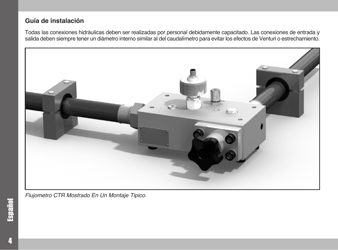# **Guía de instalación**

Todas las conexiones hidráulicas deben ser realizadas por personal debidamente capacitado. Las conexiones de entrada y salida deben siempre tener un diámetro interno similar al del caudalímetro para evitar los efectos de Venturi o estrechamiento.



Flujometro CTR Mostrado En Un Montaje Tipico.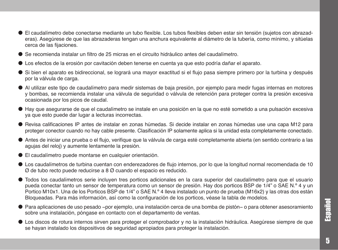- l El caudalímetro debe conectarse mediante un tubo flexible. Los tubos flexibles deben estar sin tensión (sujetos con abrazaderas). Asegúrese de que las abrazaderas tengan una anchura equivalente al diámetro de la tubería, como mínimo, y sitúelas cerca de las fijaciones.
- Se recomienda instalar un filtro de 25 micras en el circuito hidráulico antes del caudalímetro.
- l Los efectos de la erosión por cavitación deben tenerse en cuenta ya que esto podría dañar el aparato.
- l Si bien el aparato es bidireccional, se logrará una mayor exactitud si el flujo pasa siempre primero por la turbina y después por la válvula de carga.
- l Al utilizar este tipo de caudalímetro para medir sistemas de baja presión, por ejemplo para medir fugas internas en motores y bombas, se recomienda instalar una válvula de seguridad o válvula de retención para proteger contra la presión excesiva ocasionada por los picos de caudal.
- l Hay que asegurarse de que el caudalímetro se instale en una posición en la que no esté sometido a una pulsación excesiva ya que esto puede dar lugar a lecturas incorrectas.
- l Revisa calificaciones IP antes de instalar en zonas húmedas. Si decide instalar en zonas húmedas use una capa M12 para proteger conector cuando no hay cable presente. Clasificación IP solamente aplica si la unidad esta completamente conectado.
- l Antes de iniciar una prueba o el flujo, verifique que la válvula de carga esté completamente abierta (en sentido contrario a las agujas del reloj) y aumente lentamente la presión.
- El caudalímetro puede montarse en cualquier orientación.
- l Los caudalímetros de turbina cuentan con enderezadores de flujo internos, por lo que la longitud normal recomendada de 10 Ø de tubo recto puede reducirse a 8 Ø cuando el espacio es reducido.
- l Todos los caudalímetros serie incluyen tres porticos adicionales en la cara superior del caudalímetro para que el usuario pueda conectar tanto un sensor de temperatura como un sensor de presión. Hay dos porticos BSP de 1/4" o SAE N.º 4 y un Portico M10x1. Una de los Porticos BSP de 1/4" o SAE N.º 4 lleva instalado un punto de prueba (M16x2) y las otras dos están Bloqueadas. Para más información, así como la configuración de los porticos, véase la tabla de modelos.
- l Para aplicaciones de uso pesado −por ejemplo, una instalación cerca de una bomba de pistón− o para obtener asesoramiento sobre una instalación, póngase en contacto con el departamento de ventas.
- l Los discos de rotura internos sirven para proteger el comprobador y no la instalación hidráulica. Asegúrese siempre de que se hayan instalado los dispositivos de seguridad apropiados para proteger la instalación.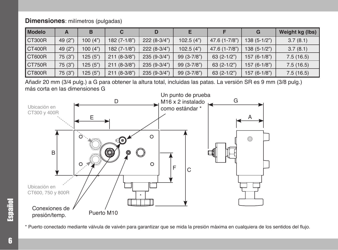# **Dimensiones**: milímetros (pulgadas)

| <b>Modelo</b> | A       | в       | C              |              |             |               |               | Weight kg (lbs) |
|---------------|---------|---------|----------------|--------------|-------------|---------------|---------------|-----------------|
| CT300R        | 49 (2") | 100(4") | 182 (7-1/8")   | 222 (8-3/4") | 102.5(4")   | 47.6 (1-7/8") | $138(5-1/2")$ | 3.7(8.1)        |
| CT400R        | 49 (2") | 100(4") | 182 (7-1/8")   | 222 (8-3/4") | 102.5(4")   | 47.6 (1-7/8") | $138(5-1/2")$ | 3.7(8.1)        |
| CT600R        | 75(3")  | 125(5") | $211 (8-3/8")$ | 235 (9-3/4") | 99 (3-7/8") | $63(2-1/2")$  | 157 (6-1/8")  | 7.5(16.5)       |
| CT750R        | 75 (3") | 125(5") | $211 (8-3/8")$ | 235 (9-3/4") | 99 (3-7/8") | $63(2-1/2")$  | $157(6-1/8")$ | 7.5(16.5)       |
| CT800R        | 75 (3") | 125(5") | $211 (8-3/8")$ | 235 (9-3/4") | 99 (3-7/8") | $63(2-1/2")$  | 157 (6-1/8")  | 7.5(16.5)       |

Añadir 20 mm (3/4 pulg.) a G para obtener la altura total, incluidas las patas. La versión SR es 9 mm (3/8 pulg.) más corta en las dimensiones G



\* Puerto conectado mediante válvula de vaivén para garantizar que se mida la presión máxima en cualquiera de los sentidos del flujo.

Esuañol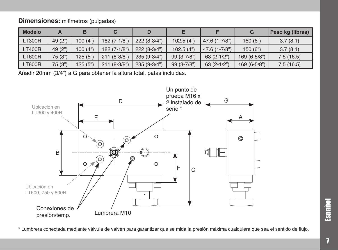# **Dimensiones:** milímetros (pulgadas)

| <b>Modelo</b> |         |          |              |               |             |                  |              | Peso kg (libras) |
|---------------|---------|----------|--------------|---------------|-------------|------------------|--------------|------------------|
| <b>LT300R</b> | 49 (2") | 100(4")  | 182 (7-1/8") | $222(8-3/4")$ | 102.5(4")   | $47.6(1 - 7/8")$ | 150(6")      | 3.7(8.1)         |
| <b>LT400R</b> | 49 (2"  | 100(4")  | 182 (7-1/8") | 222 (8-3/4")  | 102.5(4")   | 47.6 (1-7/8")    | 150(6")      | 3.7(8.1)         |
| LT600R        | 75 (3") | 125 (5") | 211 (8-3/8") | 235 (9-3/4")  | 99 (3-7/8") | $63(2-1/2")$     | 169 (6-5/8") | 7.5(16.5)        |
| <b>LT800R</b> | 75(3")  | 125(5")  | 211 (8-3/8") | 235 (9-3/4")  | 99 (3-7/8") | $63(2-1/2")$     | 169 (6-5/8") | 7.5(16.5)        |

Añadir 20mm (3/4") a G para obtener la altura total, patas incluidas.



\* Lumbrera conectada mediante válvula de vaivén para garantizar que se mida la presión máxima cualquiera que sea el sentido de flujo.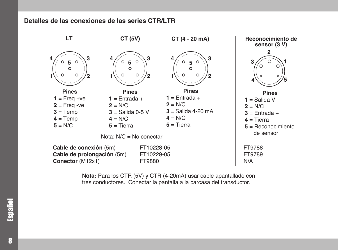# **Detalles de las conexiones de las series CTR/LTR**



**Nota:** Para los CTR (5V) y CTR (4-20mA) usar cable apantallado con tres conductores. Conectar la pantalla a la carcasa del transductor.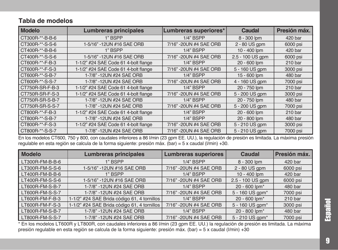# **Tabla de modelos**

| Modelo             | <b>Lumbreras principales</b>         | Lumbreras superiores*    | Caudal           | Presión máx.       |
|--------------------|--------------------------------------|--------------------------|------------------|--------------------|
| $C$ T300R-**-B-B-6 | 1" BSPP                              | 1/4" BSPP                | 8 - 300 lpm      | 420 bar            |
| CT300R-**-S-S-6    | 1-5/16" -12UN #16 SAE ORB            | 7/16" - 20 UN #4 SAE ORB | 2 - 80 US qpm    | 6000 psi           |
| CT400R-**-B-B-6    | 1" BSPP                              | $1/4$ " BSPP             | 10 - 400 lpm     | 420 bar            |
| CT400R-**-S-S-6    | 1-5/16" -12UN #16 SAE ORB            | 7/16" - 20 UN #4 SAE ORB | 2.5 - 100 US qpm | 6000 psi           |
| CT600R-**-F-B-3    | 1-1/2" #24 SAE Code 61 4-bolt flange | $1/4$ " BSPP             | 20 - 600 lpm     | 210 <sub>bar</sub> |
| CT600R-**-F-S-3    | 1-1/2" #24 SAE Code 61 4-bolt flange | 7/16" - 20 UN #4 SAE ORB | 5 - 160 US apm   | 3000 psi           |
| CT600R-**-S-B-7    | 1-7/8" -12UN #24 SAE ORB             | $1/4$ " BSPP             | 15 - 600 lpm     | 480 bar            |
| CT600R-**-S-S-7    | 1-7/8" -12UN #24 SAE ORB             | 7/16" - 20 UN #4 SAE ORB | 4 - 160 US apm   | 7000 psi           |
| CT750R-SR-F-B-3    | 1-1/2" #24 SAE Code 61 4-bolt flange | $1/4$ " BSPP             | 20 - 750 lpm     | 210 <sub>bar</sub> |
| CT750R-SR-F-S-3    | 1-1/2" #24 SAE Code 61 4-bolt flange | 7/16" - 20 UN #4 SAE ORB | 5 - 200 US apm   | 3000 psi           |
| CT750R-SR-S-B-7    | 1-7/8" -12UN #24 SAE ORB             | <b>1/4" BSPP</b>         | 20 - 750 lpm     | 480 bar            |
| CT750R-SR-S-S-7    | 1-7/8" -12UN #24 SAE ORB             | 7/16" - 20 UN #4 SAE ORB | 5 - 200 US qpm   | 7000 psi           |
| CT800R-**-F-B-3    | 1-1/2" #24 SAE Code 61 4-bolt flange | $1/4$ " BSPP             | 20 - 600 lpm     | 210 <sub>bar</sub> |
| CT800R-**-S-B-7    | 1-7/8" -12UN #24 SAE ORB             | 1/4" BSPP                | 20 - 800 lpm     | 480 bar            |
| CT800R-**-F-S-3    | 1-1/2" #24 SAE Code 61 4-bolt flange | 7/16" - 20 UN #4 SAE ORB | 5 - 210 US qpm   | 3000 psi           |
| CT800R-**-S-S-7    | 1-7/8" -12UN #24 SAE ORB             | 7/16" - 20 UN #4 SAE ORB | 5 - 210 US apm   | 7000 psi           |

En los modelos CT600, 750 y 800, con caudales inferiores a 86 l/min (23 gpm EE. UU.), la regulación de presión es limitada. La máxima presión regulable en esta región se calcula de la forma siguiente: presión máx. (bar) = 5 x caudal (l/min) +30.

| <b>Modelo</b>   | Lumbreras principales                       | Lumbreras superiores     | Caudal           | Presión máx. |
|-----------------|---------------------------------------------|--------------------------|------------------|--------------|
| LT300R-FM-B-B-6 | 1" BSPP                                     | 1/4" BSPP                | 8 - 300 lpm      | 420 bar      |
| LT300R-FM-S-S-6 | 1-5/16" -12UN #16 SAE ORB                   | 7/16" - 20 UN #4 SAE ORB | 2 - 80 US apm    | 6000 psi     |
| LT400R-FM-B-B-6 | 1" BSPP                                     | $1/4$ " BSPP             | $10 - 400$ lpm   | 420 bar      |
| LT400R-FM-S-S-6 | 1-5/16" -12UN #16 SAE ORB                   | 7/16" - 20 UN #4 SAE ORB | 2.5 - 100 US qpm | 6000 psi     |
| LT600R-FM-S-B-7 | 1-7/8" -12UN #24 SAE ORB                    | 1/4" BSPP                | $20 - 600$ lpm*  | 480 bar      |
| LT600R-FM-S-S-7 | 1-7/8" -12UN #24 SAE ORB                    | 7/16" - 20 UN #4 SAE ORB | 5 - 160 US qpm*  | 7000 psi     |
| LT600R-FM-F-B-3 | 1-1/2" #24 SAE Brida código 61, 4 tornillos | $1/4$ " BSPP             | 20 - 600 lpm*    | 210 bar      |
| LT600R-FM-F-S-3 | 1-1/2" #24 SAE Brida código 61, 4 tornillos | 7/16" - 20 UN #4 SAE ORB | 5 - 160 US qpm*  | 3000 psi     |
| LT800R-FM-S-B-7 | 1-7/8" -12UN #24 SAE ORB                    | 1/4" BSPP                | 20 - 800 lpm*    | 480 bar      |
| LT800R-FM-S-S-7 | 1-7/8" -12UN #24 SAE ORB                    | 7/16" - 20 UN #4 SAE ORB | 5 - 210 US apm*  | 7000 psi     |

\* En los modelos LT600R y LT800R, con caudales inferiores a 86 l/min (23 gpm EE. UU.) la regulación de presión es limitada. La máxima presión regulable en esta región se calcula de la forma siguiente: presión máx. (bar) = 5 x caudal (l/min) +30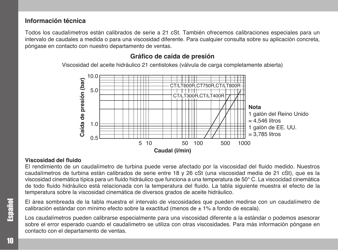# **Información técnica**

Todos los caudalímetros están calibrados de serie a 21 cSt. También ofrecemos calibraciones especiales para un intervalo de caudales a medida o para una viscosidad diferente. Para cualquier consulta sobre su aplicación concreta, póngase en contacto con nuestro departamento de ventas.

# **Gráfico de caída de presión**

Viscosidad del aceite hidráulico 21 centistokes (válvula de carga completamente abierta)



#### **Viscosidad del fluido**

El rendimiento de un caudalímetro de turbina puede verse afectado por la viscosidad del fluido medido. Nuestros caudalímetros de turbina están calibrados de serie entre 18 y 26 cSt (una viscosidad media de 21 cSt), que es la viscosidad cinemática típica para un fluido hidráulico que funciona a una temperatura de 50° C. La viscocidad cinemática de todo fluido hidráulico está relacionada con la temperatura del fluido. La tabla siguiente muestra el efecto de la temperatura sobre la viscosidad cinemática de diversos grados de aceite hidráulico.

El área sombreada de la tabla muestra el intervalo de viscosidades que pueden medirse con un caudalímetro de calibración estándar con mínimo efecto sobre la exactitud (menos de  $\pm$  1% a fondo de escala).

Los caudalímetros pueden calibrarse especialmente para una viscosidad diferente a la estándar o podemos asesorar sobre el error esperado cuando el caudalímetro se utiliza con otras viscosidades. Para más información póngase en contacto con el departamento de ventas.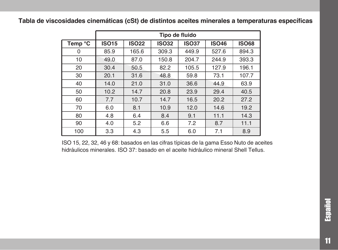**Tabla de viscosidades cinemáticas (cSt) de distintos aceites minerales a temperaturas específicas**

|         | Tipo de fluido |              |              |              |              |              |
|---------|----------------|--------------|--------------|--------------|--------------|--------------|
| Temp °C | <b>ISO15</b>   | <b>ISO22</b> | <b>ISO32</b> | <b>ISO37</b> | <b>ISO46</b> | <b>ISO68</b> |
| 0       | 85.9           | 165.6        | 309.3        | 449.9        | 527.6        | 894.3        |
| 10      | 49.0           | 87.0         | 150.8        | 204.7        | 244.9        | 393.3        |
| 20      | 30.4           | 50.5         | 82.2         | 105.5        | 127.9        | 196.1        |
| 30      | 20.1           | 31.6         | 48.8         | 59.8         | 73.1         | 107.7        |
| 40      | 14.0           | 21.0         | 31.0         | 36.6         | 44.9         | 63.9         |
| 50      | 10.2           | 14.7         | 20.8         | 23.9         | 29.4         | 40.5         |
| 60      | 7.7            | 10.7         | 14.7         | 16.5         | 20.2         | 27.2         |
| 70      | 6.0            | 8.1          | 10.9         | 12.0         | 14.6         | 19.2         |
| 80      | 4.8            | 6.4          | 8.4          | 9.1          | 11.1         | 14.3         |
| 90      | 4.0            | 5.2          | 6.6          | 7.2          | 8.7          | 11.1         |
| 100     | 3.3            | 4.3          | 5.5          | 6.0          | 7.1          | 8.9          |

ISO 15, 22, 32, 46 y 68: basados en las cifras típicas de la gama Esso Nuto de aceites hidráulicos minerales. ISO 37: basado en el aceite hidráulico mineral Shell Tellus.

 $11$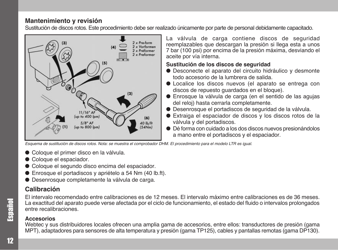# **Mantenimiento y revisión**

Sustitución de discos rotos. Este procedimiento debe ser realizado únicamente por parte de personal debidamente capacitado.



Esquema de sustitución de discos rotos. Nota: se muestra el comprobador DHM. El procedimiento para el modelo LTR es igual.

- Coloque el primer disco en la válvula.
- $\bullet$  Coloque el espaciador.
- $\bullet$  Coloque el segundo disco encima del espaciador.
- l Enrosque el portadiscos y apriételo a 54 Nm (40 lb.ft).
- l Desenrosque completamente la válvula de carga.

# **Calibración**

El intervalo recomendado entre calibraciones es de 12 meses. El intervalo máximo entre calibraciones es de 36 meses. La exactitud del aparato puede verse afectada por el ciclo de funcionamiento, el estado del fluido o intervalos prolongados entre recalibraciones.

#### **Accesorios**

Webtec y sus distribuidores locales ofrecen una amplia gama de accesorios, entre ellos: transductores de presión (gama MPT), adaptadores para sensores de alta temperatura y presión (gama TP125), cables y pantallas remotas (gama DP130).

12<br>12<br>Español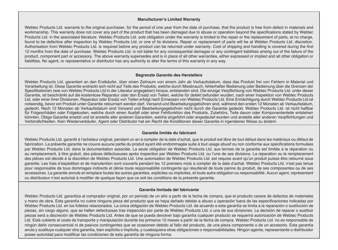#### **Manufacturer's Limited Warranty**

Webtec Products Ltd. warrants to the original purchaser, for the period of one year from the date of purchase, that the product is free from defect in materials and workmanship. This warranty does not cover any part of the product that has been damaged due to abuse or operation beyond the specifications stated by Webtec Products Ltd. in the associated literature. Webtec Products Ltd. sole obligation under the warranty is limited to the repair or the replacement of parts, at no charge, found to be defective after inspection by Webtec Products Ltd. or one of its divisions. Repair or replacement of parts will be at Webtec Products Ltd. discretion. Authorisation from Webtec Products Ltd. is required before any product can be returned under warranty. Cost of shipping and handling is covered during the first 12 months from the date of purchase. Webtec Products Ltd. is not liable for any consequential damages or any contingent liabilities arising out of the failure of the product, component part or accessory. The above warranty supersedes and is in place of all other warranties, either expressed or implied and all other obligation or liabilities. No agent, or representative or distributor has any authority to alter the terms of this warranty in any way.

#### **Begrenzte Garantie des Herstellers**

Webtec Products Ltd. garantiert an den Erstkäufer, über einen Zeitraum von einem Jahr ab Verkaufsdatum, dass das Produkt frei von Fehlern in Material und Verarbeitung ist. Diese Garantie erstreckt sich nicht auf Teile des Produkts, welche durch Missbrauch, fehlerhafter Bedienung oder Bedienung über die Grenzen der Spezifikationen (wie von Webtec Products Ltd in der Literatur angegeben) hinaus, entstanden sind. Die einzige Verpflichtung von Webtec Products Ltd. unter dieser Garantie, ist beschränkt auf die kostenlose Reparatur oder den Ersatz von Teilen, welche für defekt befunden wurden, nach einer Inspektion von Webtec Products Ltd, oder einer ihrer Divisionen. Reparatur oder Ersatz von Teilen erfolgt nach Ermessen von Webtec Products Ltd. Eine Ermächtigung durch Webtec Products Ltd ist notwendig, bevor ein Produkt unter Garantie retourniert werden darf. Versand-und Bearbeitungsgebühren sind, während den ersten 12 Monaten ab Verkaufsdatum, gedeckt. Nach 12 Monaten ab Verkaufsdatum sind Versand und Bearbeitungsgebühren nicht durch die Garantie gedeckt. Webtec Products Ltd. ist nicht haftbar für Folgeschäden oder Folgekosten, welche durch einen Ausfall oder einer Fehlfunktion des Produkts, Zubehörs, Teile davon oder Komponententeile entstehen könnten. Obige Garantie ersetzt und ist anstelle aller anderen Garantien, welche angeführt oder angedeutet wurden und anstelle aller anderen Verpflichtungen und Verbindlichkeiten. Kein Wiederverkäufer, Agent oder Distributor hat ein Recht die Konditionen dieser Garantie in irgendeiner Weise zu ändern.

#### **Garantie limitée du fabricant**

Webtec Products Ltd. garantit à l'acheteur original, pendant un an à compter de la date d'achat, que le produit est libre de tout défaut dans les matériaux ou défaut de fabrication. La présente garantie ne couvre aucune partie du produit ayant été endommagée suite à tout usage abusif ou non conforme aux spécifications formulées par Webtec Products Ltd. dans la documentation associée. La seule obligation de Webtec Products Ltd. aux termes de la garantie est limitée à la réparation ou au remplacement, à titre gratuit, des pièces défectueuses après inspection par Webtec Products Ltd. ou l'une de ses divisions. La réparation ou le remplacement des pièces est décidé à la discrétion de Webtec Products Ltd. Une autorisation de Webtec Products Ltd. est requise avant qu'un produit puisse être retourné sous garantie. Les frais d'expédition et de manutention sont couverts pendant les 12 premiers mois à compter de la date d'achat. Webtec Products Ltd. n'est pas tenue pour responsable de tous dommages indirects et dénie toute responsabilité contingente qui résulterait de toute panne du produit, de ses composantes ou de ses accessoires. La garantie annule et remplace toutes les autres garanties, explicites ou implicites, et toute autre obligation ou responsabilité. Aucun agent, représentant ou distributeur n'est autorisé à modifier de quelque façon que ce soit les conditions de la présente garantie.

#### **Garantía limitada del fabricante**

Webtec Products Ltd. garantiza al comprador original, por un período de un año a partir de la fecha de compra, que el producto carece de defectos de materiales y mano de obra. Esta garantía no cubre ninguna pieza del producto que se haya dañado debido a abuso u operación fuera de las especificaciones indicadas por Webtec Products Ltd. en los folletos relacionados. La única obligación de Webtec Products Ltd. de acuerdo a esta garantía se limita a la reparación o sustitución de piezas, sin cargo alguno, que se hallen defectuosas tras inspección por parte de Webtec Products Ltd. o una de sus divisiones. La decisión de reparar o sustituir piezas será a discreción de Webtec Products Ltd. Antes de que se pueda devolver bajo garantía cualquier producto se requerirá autorización de Webtec Products Ltd. Está cubierto el coste de transporte y manipulación durante los primeros 12 meses a partir de la fecha de compra. Webtec Products Ltd. no es responsable de ningún daño consecuencial ni de pasivos contingentes que se ocasionen debido al fallo del producto, de una pieza componente o de un accesorio. Esta garantía anula y sustituye cualquier otra garantía, bien explícita o implícita, y cualesquiera otras obligaciones o responsabilidades. Ningún agente, representante o distribuidor posee autoridad para modificar las condiciones de esta garantía de ninguna forma.